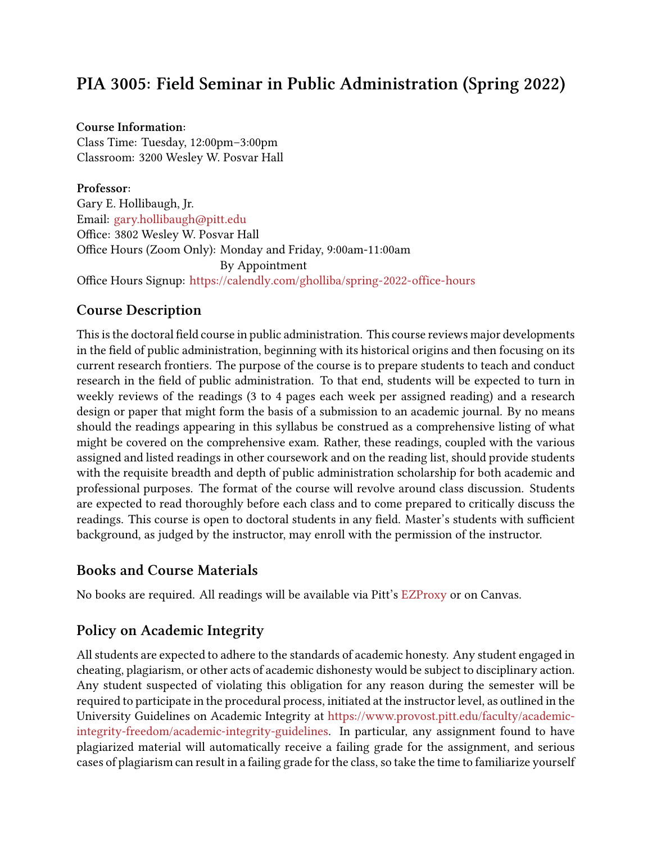# **PIA 3005: Field Seminar in Public Administration (Spring 2022)**

### **Course Information:**

Class Time: Tuesday, 12:00pm–3:00pm Classroom: 3200 Wesley W. Posvar Hall

**Professor:** Gary E. Hollibaugh, Jr. Email: [gary.hollibaugh@pitt.edu](mailto:gary.hollibaugh@pitt.edu) Office: 3802 Wesley W. Posvar Hall Office Hours (Zoom Only): Monday and Friday, 9:00am-11:00am By Appointment Office Hours Signup: <https://calendly.com/gholliba/spring-2022-office-hours>

## **Course Description**

This is the doctoral field course in public administration. This course reviews major developments in the field of public administration, beginning with its historical origins and then focusing on its current research frontiers. The purpose of the course is to prepare students to teach and conduct research in the field of public administration. To that end, students will be expected to turn in weekly reviews of the readings (3 to 4 pages each week per assigned reading) and a research design or paper that might form the basis of a submission to an academic journal. By no means should the readings appearing in this syllabus be construed as a comprehensive listing of what might be covered on the comprehensive exam. Rather, these readings, coupled with the various assigned and listed readings in other coursework and on the reading list, should provide students with the requisite breadth and depth of public administration scholarship for both academic and professional purposes. The format of the course will revolve around class discussion. Students are expected to read thoroughly before each class and to come prepared to critically discuss the readings. This course is open to doctoral students in any field. Master's students with sufficient background, as judged by the instructor, may enroll with the permission of the instructor.

## **Books and Course Materials**

No books are required. All readings will be available via Pitt's [EZProxy](https://www.library.pitt.edu/offcampus) or on Canvas.

## **Policy on Academic Integrity**

All students are expected to adhere to the standards of academic honesty. Any student engaged in cheating, plagiarism, or other acts of academic dishonesty would be subject to disciplinary action. Any student suspected of violating this obligation for any reason during the semester will be required to participate in the procedural process, initiated at the instructor level, as outlined in the University Guidelines on Academic Integrity at [https://www.provost.pitt.edu/faculty/academic](https://www.provost.pitt.edu/faculty/academic-integrity-freedom/academic-integrity-guidelines)[integrity-freedom/academic-integrity-guidelines](https://www.provost.pitt.edu/faculty/academic-integrity-freedom/academic-integrity-guidelines). In particular, any assignment found to have plagiarized material will automatically receive a failing grade for the assignment, and serious cases of plagiarism can result in a failing grade for the class, so take the time to familiarize yourself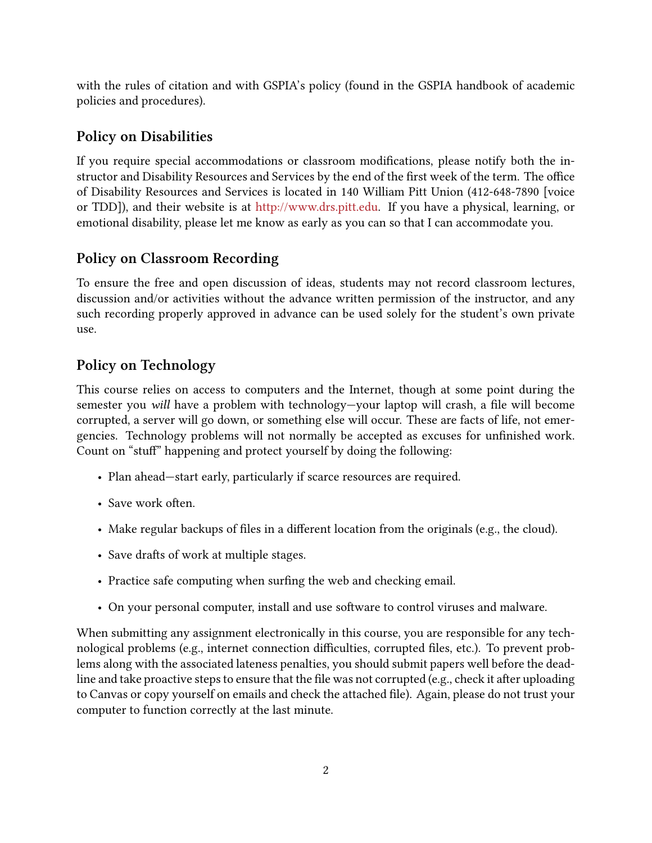with the rules of citation and with GSPIA's policy (found in the GSPIA handbook of academic policies and procedures).

# **Policy on Disabilities**

If you require special accommodations or classroom modifications, please notify both the instructor and Disability Resources and Services by the end of the first week of the term. The office of Disability Resources and Services is located in 140 William Pitt Union (412-648-7890 [voice or TDD]), and their website is at <http://www.drs.pitt.edu>. If you have a physical, learning, or emotional disability, please let me know as early as you can so that I can accommodate you.

# **Policy on Classroom Recording**

To ensure the free and open discussion of ideas, students may not record classroom lectures, discussion and/or activities without the advance written permission of the instructor, and any such recording properly approved in advance can be used solely for the student's own private use.

# **Policy on Technology**

This course relies on access to computers and the Internet, though at some point during the semester you *will* have a problem with technology—your laptop will crash, a file will become corrupted, a server will go down, or something else will occur. These are facts of life, not emergencies. Technology problems will not normally be accepted as excuses for unfinished work. Count on "stuff" happening and protect yourself by doing the following:

- Plan ahead—start early, particularly if scarce resources are required.
- Save work often.
- Make regular backups of files in a different location from the originals (e.g., the cloud).
- Save drafts of work at multiple stages.
- Practice safe computing when surfing the web and checking email.
- On your personal computer, install and use software to control viruses and malware.

When submitting any assignment electronically in this course, you are responsible for any technological problems (e.g., internet connection difficulties, corrupted files, etc.). To prevent problems along with the associated lateness penalties, you should submit papers well before the deadline and take proactive steps to ensure that the file was not corrupted (e.g., check it after uploading to Canvas or copy yourself on emails and check the attached file). Again, please do not trust your computer to function correctly at the last minute.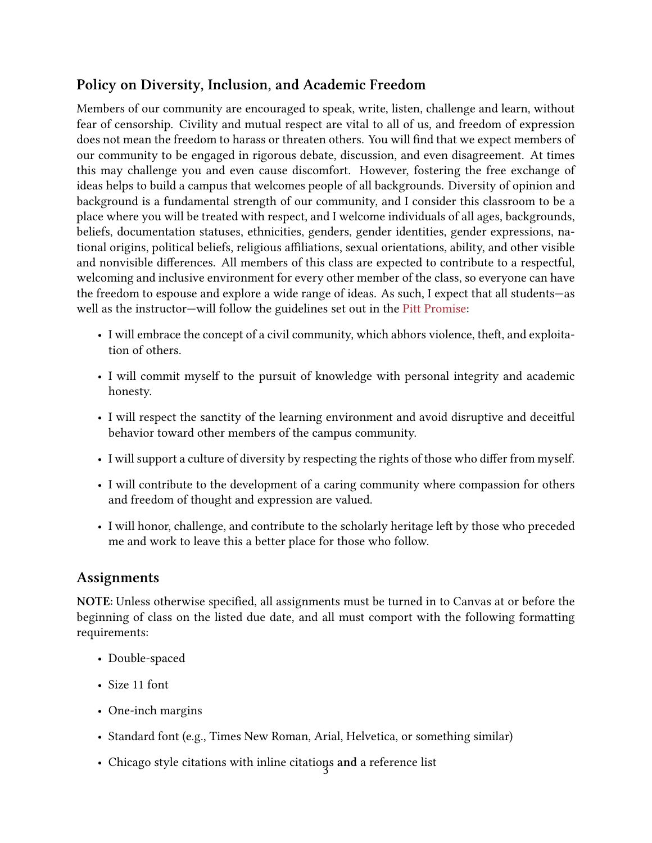# **Policy on Diversity, Inclusion, and Academic Freedom**

Members of our community are encouraged to speak, write, listen, challenge and learn, without fear of censorship. Civility and mutual respect are vital to all of us, and freedom of expression does not mean the freedom to harass or threaten others. You will find that we expect members of our community to be engaged in rigorous debate, discussion, and even disagreement. At times this may challenge you and even cause discomfort. However, fostering the free exchange of ideas helps to build a campus that welcomes people of all backgrounds. Diversity of opinion and background is a fundamental strength of our community, and I consider this classroom to be a place where you will be treated with respect, and I welcome individuals of all ages, backgrounds, beliefs, documentation statuses, ethnicities, genders, gender identities, gender expressions, national origins, political beliefs, religious affiliations, sexual orientations, ability, and other visible and nonvisible differences. All members of this class are expected to contribute to a respectful, welcoming and inclusive environment for every other member of the class, so everyone can have the freedom to espouse and explore a wide range of ideas. As such, I expect that all students—as well as the instructor—will follow the guidelines set out in the [Pitt Promise](https://www.studentaffairs.pitt.edu/dean/pittpromise/):

- I will embrace the concept of a civil community, which abhors violence, theft, and exploitation of others.
- I will commit myself to the pursuit of knowledge with personal integrity and academic honesty.
- I will respect the sanctity of the learning environment and avoid disruptive and deceitful behavior toward other members of the campus community.
- I will support a culture of diversity by respecting the rights of those who differ from myself.
- I will contribute to the development of a caring community where compassion for others and freedom of thought and expression are valued.
- I will honor, challenge, and contribute to the scholarly heritage left by those who preceded me and work to leave this a better place for those who follow.

# **Assignments**

**NOTE:** Unless otherwise specified, all assignments must be turned in to Canvas at or before the beginning of class on the listed due date, and all must comport with the following formatting requirements:

- Double-spaced
- Size 11 font
- One-inch margins
- Standard font (e.g., Times New Roman, Arial, Helvetica, or something similar)
- Chicago style citations with inline citations and a reference list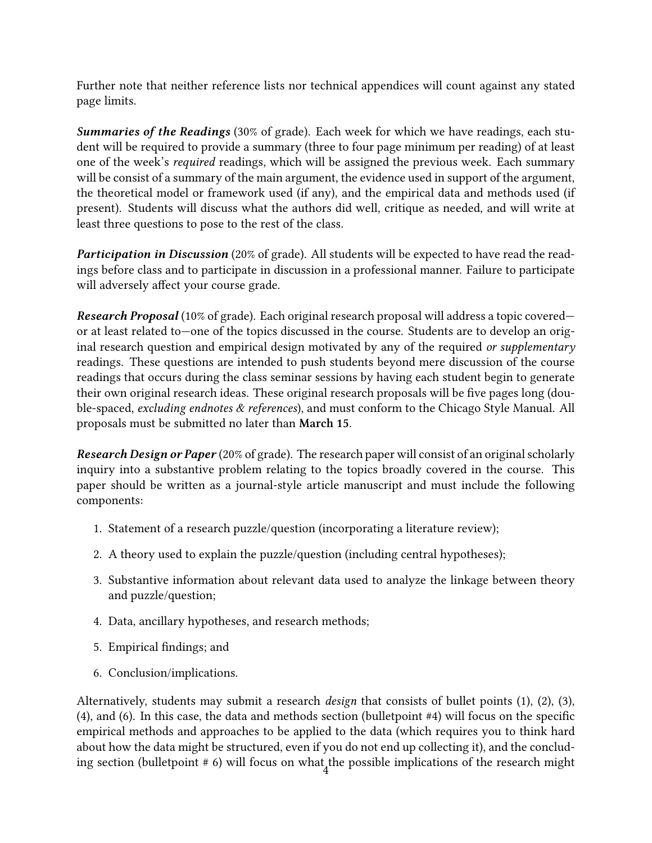Further note that neither reference lists nor technical appendices will count against any stated page limits.

*Summaries of the Readings* (30% of grade). Each week for which we have readings, each student will be required to provide a summary (three to four page minimum per reading) of at least one of the week's *required* readings, which will be assigned the previous week. Each summary will be consist of a summary of the main argument, the evidence used in support of the argument, the theoretical model or framework used (if any), and the empirical data and methods used (if present). Students will discuss what the authors did well, critique as needed, and will write at least three questions to pose to the rest of the class.

*Participation in Discussion* (20% of grade). All students will be expected to have read the readings before class and to participate in discussion in a professional manner. Failure to participate will adversely affect your course grade.

*Research Proposal* (10% of grade). Each original research proposal will address a topic covered or at least related to—one of the topics discussed in the course. Students are to develop an original research question and empirical design motivated by any of the required *or supplementary* readings. These questions are intended to push students beyond mere discussion of the course readings that occurs during the class seminar sessions by having each student begin to generate their own original research ideas. These original research proposals will be five pages long (double‐spaced, *excluding endnotes & references*), and must conform to the Chicago Style Manual. All proposals must be submitted no later than **March 15**.

*Research Design or Paper* (20% of grade). The research paper will consist of an original scholarly inquiry into a substantive problem relating to the topics broadly covered in the course. This paper should be written as a journal‐style article manuscript and must include the following components:

- 1. Statement of a research puzzle/question (incorporating a literature review);
- 2. A theory used to explain the puzzle/question (including central hypotheses);
- 3. Substantive information about relevant data used to analyze the linkage between theory and puzzle/question;
- 4. Data, ancillary hypotheses, and research methods;
- 5. Empirical findings; and
- 6. Conclusion/implications.

Alternatively, students may submit a research *design* that consists of bullet points (1), (2), (3), (4), and (6). In this case, the data and methods section (bulletpoint #4) will focus on the specific empirical methods and approaches to be applied to the data (which requires you to think hard about how the data might be structured, even if you do not end up collecting it), and the concluding section (bulletpoint # 6) will focus on what the possible implications of the research might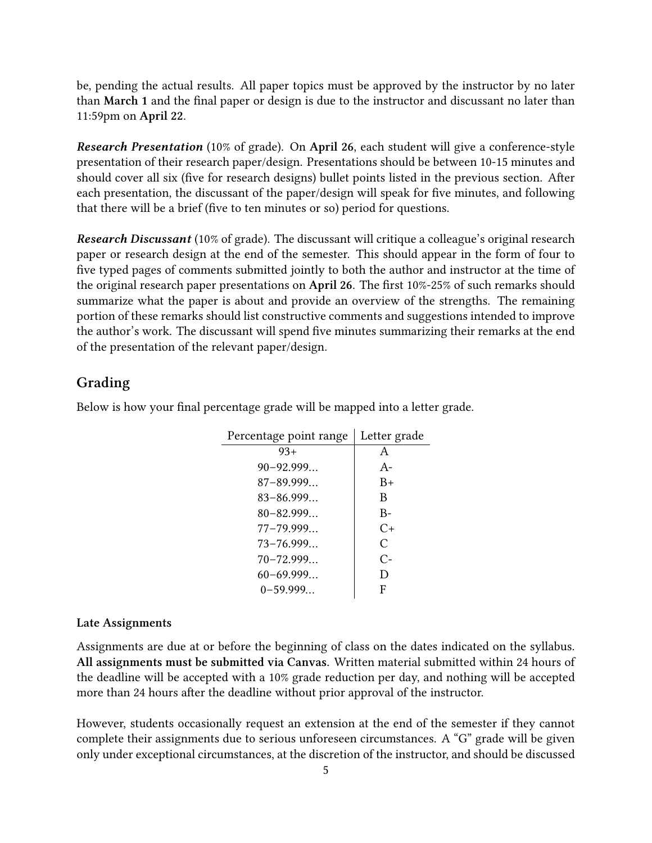be, pending the actual results. All paper topics must be approved by the instructor by no later than **March 1** and the final paper or design is due to the instructor and discussant no later than 11:59pm on **April 22**.

*Research Presentation* (10% of grade). On **April 26**, each student will give a conference-style presentation of their research paper/design. Presentations should be between 10-15 minutes and should cover all six (five for research designs) bullet points listed in the previous section. After each presentation, the discussant of the paper/design will speak for five minutes, and following that there will be a brief (five to ten minutes or so) period for questions.

*Research Discussant* (10% of grade). The discussant will critique a colleague's original research paper or research design at the end of the semester. This should appear in the form of four to five typed pages of comments submitted jointly to both the author and instructor at the time of the original research paper presentations on **April 26**. The first 10%‐25% of such remarks should summarize what the paper is about and provide an overview of the strengths. The remaining portion of these remarks should list constructive comments and suggestions intended to improve the author's work. The discussant will spend five minutes summarizing their remarks at the end of the presentation of the relevant paper/design.

### **Grading**

Below is how your final percentage grade will be mapped into a letter grade.

| Percentage point range | Letter grade  |
|------------------------|---------------|
| $93+$                  | A             |
| $90 - 92.999$          | $A-$          |
| $87 - 89.999$          | $B+$          |
| $83 - 86.999$          | B             |
| $80 - 82.999$          | $B -$         |
| $77 - 79.999$          | $C_{\pm}$     |
| $73 - 76.999$          | $\mathcal{C}$ |
| $70 - 72.999$          | $C-$          |
| $60 - 69.999$          | D             |
| $0 - 59.999$           | F             |

#### **Late Assignments**

Assignments are due at or before the beginning of class on the dates indicated on the syllabus. **All assignments must be submitted via Canvas.** Written material submitted within 24 hours of the deadline will be accepted with a 10% grade reduction per day, and nothing will be accepted more than 24 hours after the deadline without prior approval of the instructor.

However, students occasionally request an extension at the end of the semester if they cannot complete their assignments due to serious unforeseen circumstances. A "G" grade will be given only under exceptional circumstances, at the discretion of the instructor, and should be discussed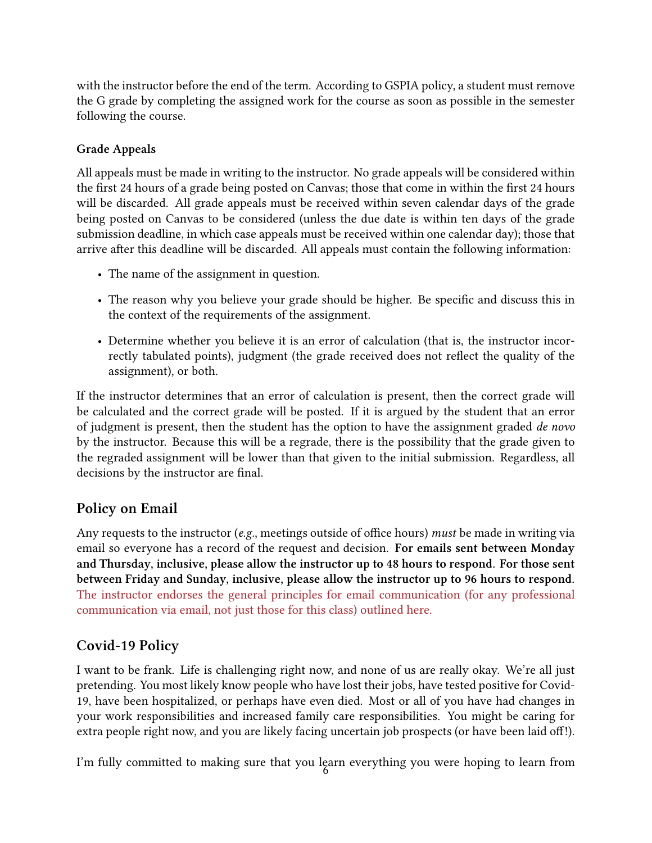with the instructor before the end of the term. According to GSPIA policy, a student must remove the G grade by completing the assigned work for the course as soon as possible in the semester following the course.

## **Grade Appeals**

All appeals must be made in writing to the instructor. No grade appeals will be considered within the first 24 hours of a grade being posted on Canvas; those that come in within the first 24 hours will be discarded. All grade appeals must be received within seven calendar days of the grade being posted on Canvas to be considered (unless the due date is within ten days of the grade submission deadline, in which case appeals must be received within one calendar day); those that arrive after this deadline will be discarded. All appeals must contain the following information:

- The name of the assignment in question.
- The reason why you believe your grade should be higher. Be specific and discuss this in the context of the requirements of the assignment.
- Determine whether you believe it is an error of calculation (that is, the instructor incorrectly tabulated points), judgment (the grade received does not reflect the quality of the assignment), or both.

If the instructor determines that an error of calculation is present, then the correct grade will be calculated and the correct grade will be posted. If it is argued by the student that an error of judgment is present, then the student has the option to have the assignment graded *de novo* by the instructor. Because this will be a regrade, there is the possibility that the grade given to the regraded assignment will be lower than that given to the initial submission. Regardless, all decisions by the instructor are final.

# **Policy on Email**

Any requests to the instructor (*e.g.*, meetings outside of office hours) *must* be made in writing via email so everyone has a record of the request and decision. **For emails sent between Monday and Thursday, inclusive, please allow the instructor up to 48 hours to respond. For those sent between Friday and Sunday, inclusive, please allow the instructor up to 96 hours to respond.** [The instructor endorses the general principles for email communication \(for any professional](http://www.wikihow.com/Email-a-Professor) [communication via email, not just those for this class\) outlined here.](http://www.wikihow.com/Email-a-Professor)

# **Covid-19 Policy**

I want to be frank. Life is challenging right now, and none of us are really okay. We're all just pretending. You most likely know people who have lost their jobs, have tested positive for Covid-19, have been hospitalized, or perhaps have even died. Most or all of you have had changes in your work responsibilities and increased family care responsibilities. You might be caring for extra people right now, and you are likely facing uncertain job prospects (or have been laid off!).

I'm fully committed to making sure that you learn everything you were hoping to learn from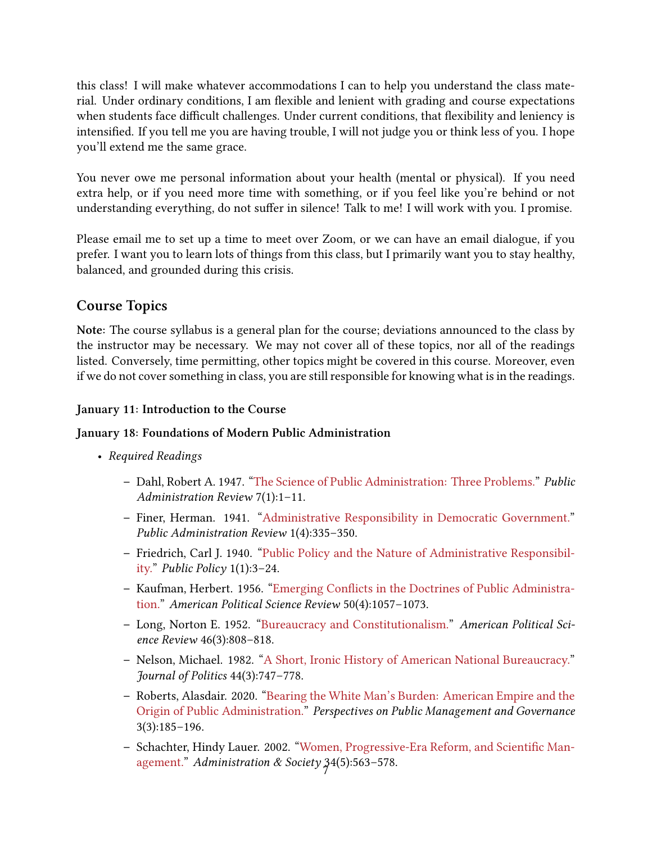this class! I will make whatever accommodations I can to help you understand the class material. Under ordinary conditions, I am flexible and lenient with grading and course expectations when students face difficult challenges. Under current conditions, that flexibility and leniency is intensified. If you tell me you are having trouble, I will not judge you or think less of you. I hope you'll extend me the same grace.

You never owe me personal information about your health (mental or physical). If you need extra help, or if you need more time with something, or if you feel like you're behind or not understanding everything, do not suffer in silence! Talk to me! I will work with you. I promise.

Please email me to set up a time to meet over Zoom, or we can have an email dialogue, if you prefer. I want you to learn lots of things from this class, but I primarily want you to stay healthy, balanced, and grounded during this crisis.

# **Course Topics**

**Note:** The course syllabus is a general plan for the course; deviations announced to the class by the instructor may be necessary. We may not cover all of these topics, nor all of the readings listed. Conversely, time permitting, other topics might be covered in this course. Moreover, even if we do not cover something in class, you are still responsible for knowing what is in the readings.

## **January 11: Introduction to the Course**

## **January 18: Foundations of Modern Public Administration**

- *Required Readings*
	- **–** Dahl, Robert A. 1947. ["The Science of Public Administration: Three Problems."](https://www-jstor-org.pitt.idm.oclc.org/stable/972349) *Public Administration Review* 7(1):1–11.
	- **–** Finer, Herman. 1941."[Administrative Responsibility in Democratic Government."](https://www-jstor-org.pitt.idm.oclc.org/stable/972907) *Public Administration Review* 1(4):335–350.
	- **–** Friedrich, Carl J. 1940. ["Public Policy and the Nature of Administrative Responsibil](https://canvas.pitt.edu/files/7497324/download?download_frd=1)[ity.](https://canvas.pitt.edu/files/7497324/download?download_frd=1)" *Public Policy* 1(1):3–24.
	- **–** Kaufman, Herbert. 1956. ["Emerging Conflicts in the Doctrines of Public Administra](https://www-jstor-org.pitt.idm.oclc.org/stable/1951335)[tion.](https://www-jstor-org.pitt.idm.oclc.org/stable/1951335)" *American Political Science Review* 50(4):1057–1073.
	- **–** Long, Norton E. 1952. ["Bureaucracy and Constitutionalism."](https://www-jstor-org.pitt.idm.oclc.org/stable/1952286) *American Political Science Review* 46(3):808–818.
	- **–** Nelson, Michael. 1982."[A Short, Ironic History of American National Bureaucracy."](https://www-jstor-org.pitt.idm.oclc.org/stable/2130516) *Journal of Politics* 44(3):747–778.
	- **–** Roberts, Alasdair. 2020. ["Bearing the White Man's Burden: American Empire and the](https://academic-oup-com.pitt.idm.oclc.org/ppmg/article/3/3/185/5587059) [Origin of Public Administration.](https://academic-oup-com.pitt.idm.oclc.org/ppmg/article/3/3/185/5587059)" *Perspectives on Public Management and Governance* 3(3):185–196.
	- **–** Schachter, Hindy Lauer. 2002. ["Women, Progressive-Era Reform, and Scientific Man](https://journals-sagepub-com.pitt.idm.oclc.org/doi/abs/10.1177/009539902237276)[agement."](https://journals-sagepub-com.pitt.idm.oclc.org/doi/abs/10.1177/009539902237276) *Administration & Society* 34(5):563-578.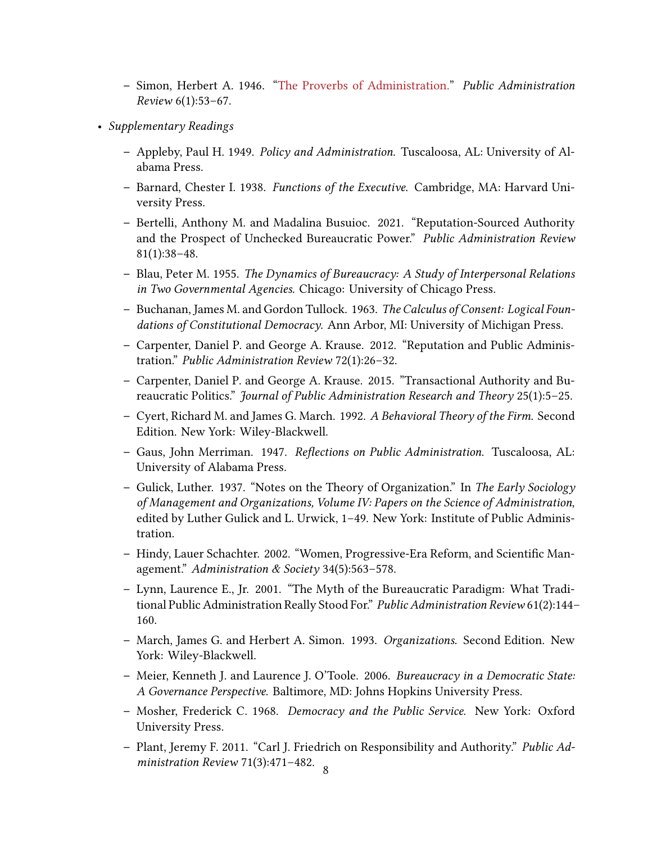- **–** Simon, Herbert A. 1946."[The Proverbs of Administration.](https://www-jstor-org.pitt.idm.oclc.org/stable/973030)" *Public Administration Review* 6(1):53–67.
- *Supplementary Readings*
	- **–** Appleby, Paul H. 1949. *Policy and Administration*. Tuscaloosa, AL: University of Alabama Press.
	- **–** Barnard, Chester I. 1938. *Functions of the Executive*. Cambridge, MA: Harvard University Press.
	- **–** Bertelli, Anthony M. and Madalina Busuioc. 2021. "Reputation‐Sourced Authority and the Prospect of Unchecked Bureaucratic Power." *Public Administration Review* 81(1):38–48.
	- **–** Blau, Peter M. 1955. *The Dynamics of Bureaucracy: A Study of Interpersonal Relations in Two Governmental Agencies*. Chicago: University of Chicago Press.
	- **–** Buchanan, James M. and Gordon Tullock. 1963. *The Calculus of Consent: Logical Foundations of Constitutional Democracy*. Ann Arbor, MI: University of Michigan Press.
	- **–** Carpenter, Daniel P. and George A. Krause. 2012. "Reputation and Public Administration." *Public Administration Review* 72(1):26–32.
	- **–** Carpenter, Daniel P. and George A. Krause. 2015. "Transactional Authority and Bureaucratic Politics." *Journal of Public Administration Research and Theory* 25(1):5–25.
	- **–** Cyert, Richard M. and James G. March. 1992. *A Behavioral Theory of the Firm*. Second Edition. New York: Wiley-Blackwell.
	- **–** Gaus, John Merriman. 1947. *Reflections on Public Administration*. Tuscaloosa, AL: University of Alabama Press.
	- **–** Gulick, Luther. 1937. "Notes on the Theory of Organization." In *The Early Sociology of Management and Organizations, Volume IV: Papers on the Science of Administration*, edited by Luther Gulick and L. Urwick, 1–49. New York: Institute of Public Administration.
	- **–** Hindy, Lauer Schachter. 2002. "Women, Progressive-Era Reform, and Scientific Management." *Administration & Society* 34(5):563–578.
	- **–** Lynn, Laurence E., Jr. 2001. "The Myth of the Bureaucratic Paradigm: What Traditional Public Administration Really Stood For." *Public Administration Review* 61(2):144– 160.
	- **–** March, James G. and Herbert A. Simon. 1993. *Organizations*. Second Edition. New York: Wiley-Blackwell.
	- **–** Meier, Kenneth J. and Laurence J. O'Toole. 2006. *Bureaucracy in a Democratic State: A Governance Perspective*. Baltimore, MD: Johns Hopkins University Press.
	- **–** Mosher, Frederick C. 1968. *Democracy and the Public Service*. New York: Oxford University Press.
	- **–** Plant, Jeremy F. 2011. "Carl J. Friedrich on Responsibility and Authority." *Public Administration Review* 71(3):471-482.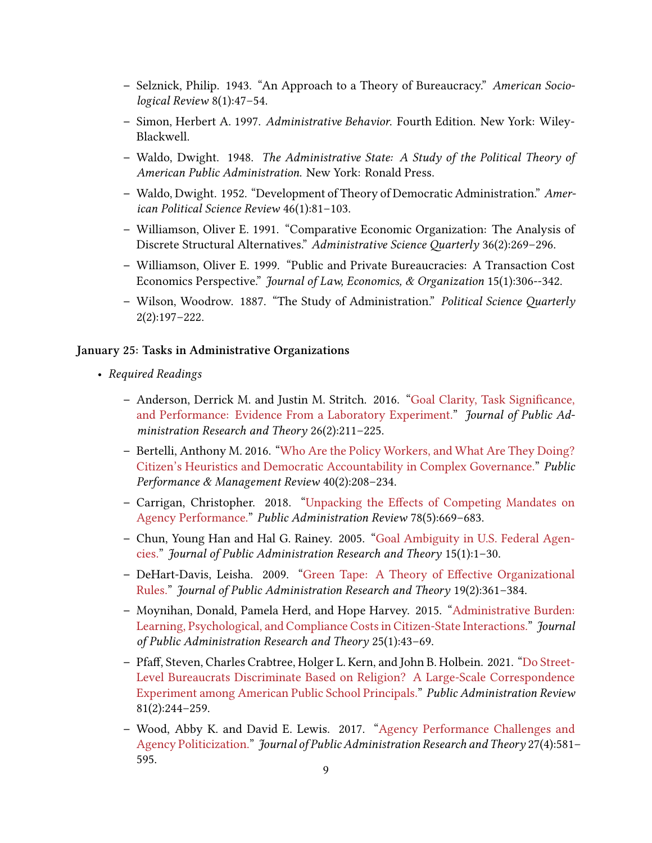- **–** Selznick, Philip. 1943. "An Approach to a Theory of Bureaucracy." *American Sociological Review* 8(1):47–54.
- **–** Simon, Herbert A. 1997. *Administrative Behavior*. Fourth Edition. New York: Wiley-Blackwell.
- **–** Waldo, Dwight. 1948. *The Administrative State: A Study of the Political Theory of American Public Administration*. New York: Ronald Press.
- **–** Waldo, Dwight. 1952. "Development of Theory of Democratic Administration." *American Political Science Review* 46(1):81–103.
- **–** Williamson, Oliver E. 1991. "Comparative Economic Organization: The Analysis of Discrete Structural Alternatives." *Administrative Science Quarterly* 36(2):269–296.
- **–** Williamson, Oliver E. 1999. "Public and Private Bureaucracies: A Transaction Cost Economics Perspective." *Journal of Law, Economics, & Organization* 15(1):306‐-342.
- **–** Wilson, Woodrow. 1887. "The Study of Administration." *Political Science Quarterly* 2(2):197–222.

#### **January 25: Tasks in Administrative Organizations**

- *Required Readings*
	- **–** Anderson, Derrick M. and Justin M. Stritch. 2016."[Goal Clarity, Task Significance,](https://academic-oup-com.pitt.idm.oclc.org/jpart/article/26/2/211/2886461) [and Performance: Evidence From a Laboratory Experiment.](https://academic-oup-com.pitt.idm.oclc.org/jpart/article/26/2/211/2886461)" *Journal of Public Administration Research and Theory* 26(2):211–225.
	- **–** Bertelli, Anthony M. 2016. ["Who Are the Policy Workers, and What Are They Doing?](https://www-tandfonline-com.pitt.idm.oclc.org/doi/full/10.1080/15309576.2016.1180306) [Citizen's Heuristics and Democratic Accountability in Complex Governance.](https://www-tandfonline-com.pitt.idm.oclc.org/doi/full/10.1080/15309576.2016.1180306)" *Public Performance & Management Review* 40(2):208–234.
	- **–** Carrigan, Christopher. 2018. ["Unpacking the Effects of Competing Mandates on](https://onlinelibrary-wiley-com.pitt.idm.oclc.org/doi/full/10.1111/puar.12912) [Agency Performance.](https://onlinelibrary-wiley-com.pitt.idm.oclc.org/doi/full/10.1111/puar.12912)" *Public Administration Review* 78(5):669–683.
	- **–** Chun, Young Han and Hal G. Rainey. 2005."[Goal Ambiguity in U.S. Federal Agen](https://academic-oup-com.pitt.idm.oclc.org/jpart/article/15/1/1/971250)[cies.](https://academic-oup-com.pitt.idm.oclc.org/jpart/article/15/1/1/971250)" *Journal of Public Administration Research and Theory* 15(1):1–30.
	- **–** DeHart-Davis, Leisha. 2009."[Green Tape: A Theory of Effective Organizational](https://www-jstor-org.pitt.idm.oclc.org/stable/29738949) [Rules.](https://www-jstor-org.pitt.idm.oclc.org/stable/29738949)" *Journal of Public Administration Research and Theory* 19(2):361–384.
	- **–** Moynihan, Donald, Pamela Herd, and Hope Harvey. 2015."[Administrative Burden:](https://www-jstor-org.pitt.idm.oclc.org/stable/24484941) [Learning, Psychological, and Compliance Costs in Citizen-State Interactions."](https://www-jstor-org.pitt.idm.oclc.org/stable/24484941) *Journal of Public Administration Research and Theory* 25(1):43–69.
	- **–** Pfaff, Steven, Charles Crabtree, Holger L. Kern, and John B. Holbein. 2021."[Do Street-](https://onlinelibrary-wiley-com.pitt.idm.oclc.org/doi/full/10.1111/puar.13235)[Level Bureaucrats Discriminate Based on Religion? A Large-Scale Correspondence](https://onlinelibrary-wiley-com.pitt.idm.oclc.org/doi/full/10.1111/puar.13235) [Experiment among American Public School Principals.](https://onlinelibrary-wiley-com.pitt.idm.oclc.org/doi/full/10.1111/puar.13235)" *Public Administration Review* 81(2):244–259.
	- **–** Wood, Abby K. and David E. Lewis. 2017."[Agency Performance Challenges and](https://academic-oup-com.pitt.idm.oclc.org/jpart/article/27/4/581/3867390) [Agency Politicization.](https://academic-oup-com.pitt.idm.oclc.org/jpart/article/27/4/581/3867390)" *Journal of Public Administration Research and Theory* 27(4):581– 595.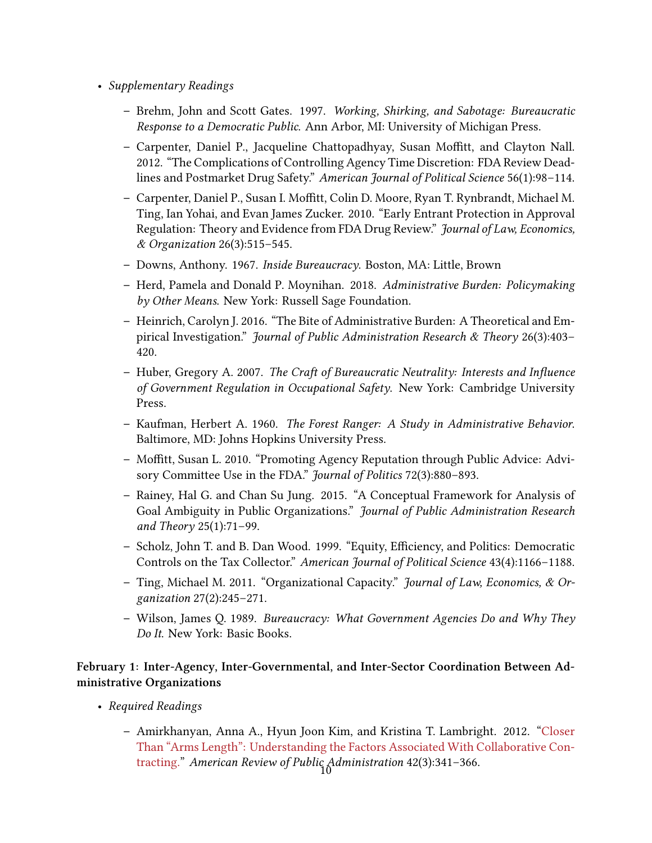- *Supplementary Readings*
	- **–** Brehm, John and Scott Gates. 1997. *Working, Shirking, and Sabotage: Bureaucratic Response to a Democratic Public*. Ann Arbor, MI: University of Michigan Press.
	- **–** Carpenter, Daniel P., Jacqueline Chattopadhyay, Susan Moffitt, and Clayton Nall. 2012. "The Complications of Controlling Agency Time Discretion: FDA Review Deadlines and Postmarket Drug Safety." *American Journal of Political Science* 56(1):98–114.
	- **–** Carpenter, Daniel P., Susan I. Moffitt, Colin D. Moore, Ryan T. Rynbrandt, Michael M. Ting, Ian Yohai, and Evan James Zucker. 2010. "Early Entrant Protection in Approval Regulation: Theory and Evidence from FDA Drug Review." *Journal of Law, Economics, & Organization* 26(3):515–545.
	- **–** Downs, Anthony. 1967. *Inside Bureaucracy*. Boston, MA: Little, Brown
	- **–** Herd, Pamela and Donald P. Moynihan. 2018. *Administrative Burden: Policymaking by Other Means*. New York: Russell Sage Foundation.
	- **–** Heinrich, Carolyn J. 2016. "The Bite of Administrative Burden: A Theoretical and Empirical Investigation." *Journal of Public Administration Research & Theory* 26(3):403– 420.
	- **–** Huber, Gregory A. 2007. *The Craft of Bureaucratic Neutrality: Interests and Influence of Government Regulation in Occupational Safety*. New York: Cambridge University Press.
	- **–** Kaufman, Herbert A. 1960. *The Forest Ranger: A Study in Administrative Behavior*. Baltimore, MD: Johns Hopkins University Press.
	- **–** Moffitt, Susan L. 2010. "Promoting Agency Reputation through Public Advice: Advisory Committee Use in the FDA." *Journal of Politics* 72(3):880–893.
	- **–** Rainey, Hal G. and Chan Su Jung. 2015. "A Conceptual Framework for Analysis of Goal Ambiguity in Public Organizations." *Journal of Public Administration Research and Theory* 25(1):71–99.
	- **–** Scholz, John T. and B. Dan Wood. 1999. "Equity, Efficiency, and Politics: Democratic Controls on the Tax Collector." *American Journal of Political Science* 43(4):1166–1188.
	- **–** Ting, Michael M. 2011. "Organizational Capacity." *Journal of Law, Economics, & Organization* 27(2):245–271.
	- **–** Wilson, James Q. 1989. *Bureaucracy: What Government Agencies Do and Why They Do It*. New York: Basic Books.

## **February 1: Inter‐Agency, Inter‐Governmental, and Inter‐Sector Coordination Between Administrative Organizations**

- *Required Readings*
	- **–** Amirkhanyan, Anna A., Hyun Joon Kim, and Kristina T. Lambright. 2012."[Closer](https://journals-sagepub-com.pitt.idm.oclc.org/doi/full/10.1177/0275074011402319) [Than "Arms Length": Understanding the Factors Associated With Collaborative Con](https://journals-sagepub-com.pitt.idm.oclc.org/doi/full/10.1177/0275074011402319)[tracting.](https://journals-sagepub-com.pitt.idm.oclc.org/doi/full/10.1177/0275074011402319)" *American Review of Public Administration* 42(3):341-366.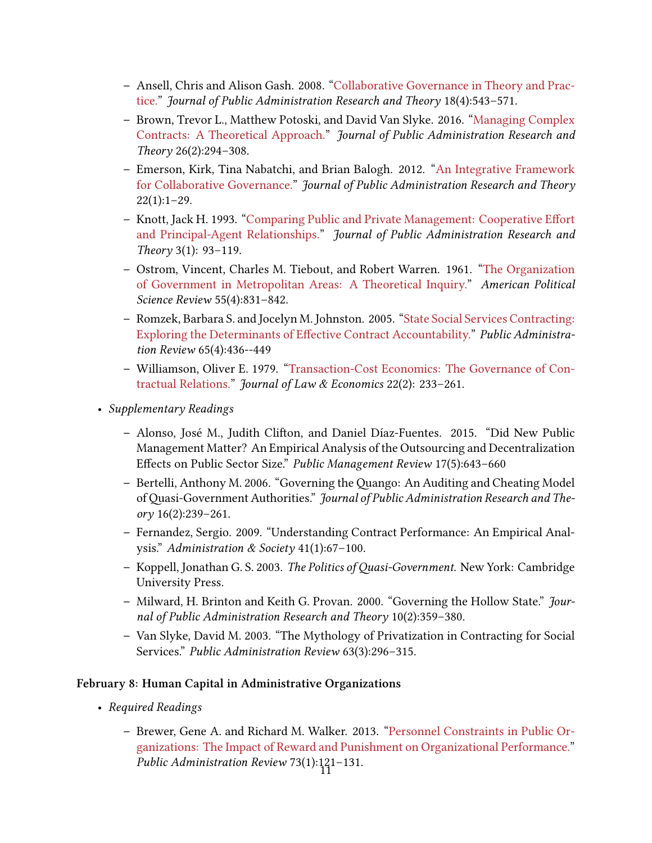- **–** Ansell, Chris and Alison Gash. 2008. ["Collaborative Governance in Theory and Prac](https://academic-oup-com.pitt.idm.oclc.org/jpart/article/18/4/543/1090370)[tice.](https://academic-oup-com.pitt.idm.oclc.org/jpart/article/18/4/543/1090370)" *Journal of Public Administration Research and Theory* 18(4):543–571.
- **–** Brown, Trevor L., Matthew Potoski, and David Van Slyke. 2016."[Managing Complex](https://academic-oup-com.pitt.idm.oclc.org/jpart/article/26/2/294/2886433) [Contracts: A Theoretical Approach."](https://academic-oup-com.pitt.idm.oclc.org/jpart/article/26/2/294/2886433) *Journal of Public Administration Research and Theory* 26(2):294–308.
- **–** Emerson, Kirk, Tina Nabatchi, and Brian Balogh. 2012. ["An Integrative Framework](https://www-jstor-org.pitt.idm.oclc.org/stable/41342607) [for Collaborative Governance.](https://www-jstor-org.pitt.idm.oclc.org/stable/41342607)" *Journal of Public Administration Research and Theory*  $22(1):1-29.$
- **–** Knott, Jack H. 1993. ["Comparing Public and Private Management: Cooperative Effort](https://www-jstor-org.pitt.idm.oclc.org/stable/118 1570) [and Principal-Agent Relationships.](https://www-jstor-org.pitt.idm.oclc.org/stable/118 1570)" *Journal of Public Administration Research and Theory* 3(1): 93–119.
- **–** Ostrom, Vincent, Charles M. Tiebout, and Robert Warren. 1961."[The Organization](https://www-jstor-org.pitt.idm.oclc.org/stable/1952530) [of Government in Metropolitan Areas: A Theoretical Inquiry."](https://www-jstor-org.pitt.idm.oclc.org/stable/1952530) *American Political Science Review* 55(4):831–842.
- **–** Romzek, Barbara S. and Jocelyn M. Johnston. 2005. ["State Social Services Contracting:](https://www-jstor-org.pitt.idm.oclc.org/stable/3542640) [Exploring the Determinants of Effective Contract Accountability.](https://www-jstor-org.pitt.idm.oclc.org/stable/3542640)" *Public Administration Review* 65(4):436‐-449
- **–** Williamson, Oliver E. 1979."[Transaction-Cost Economics: The Governance of Con](https://www-jstor-org.pitt.idm.oclc.org/stable/725118)[tractual Relations."](https://www-jstor-org.pitt.idm.oclc.org/stable/725118) *Journal of Law & Economics* 22(2): 233–261.
- *Supplementary Readings*
	- **–** Alonso, José M., Judith Clifton, and Daniel Díaz‐Fuentes. 2015. "Did New Public Management Matter? An Empirical Analysis of the Outsourcing and Decentralization Effects on Public Sector Size." *Public Management Review* 17(5):643–660
	- **–** Bertelli, Anthony M. 2006. "Governing the Quango: An Auditing and Cheating Model of Quasi-Government Authorities." *Journal of Public Administration Research and Theory* 16(2):239–261.
	- **–** Fernandez, Sergio. 2009. "Understanding Contract Performance: An Empirical Analysis." *Administration & Society* 41(1):67–100.
	- **–** Koppell, Jonathan G. S. 2003. *The Politics of Quasi-Government*. New York: Cambridge University Press.
	- **–** Milward, H. Brinton and Keith G. Provan. 2000. "Governing the Hollow State." *Journal of Public Administration Research and Theory* 10(2):359–380.
	- **–** Van Slyke, David M. 2003. "The Mythology of Privatization in Contracting for Social Services." *Public Administration Review* 63(3):296–315.

### **February 8: Human Capital in Administrative Organizations**

- *Required Readings*
	- **–** Brewer, Gene A. and Richard M. Walker. 2013. ["Personnel Constraints in Public Or](https://www-jstor-org.pitt.idm.oclc.org/stable/23355445)[ganizations: The Impact of Reward and Punishment on Organizational Performance."](https://www-jstor-org.pitt.idm.oclc.org/stable/23355445) *Public Administration Review 73(1)*:121-131.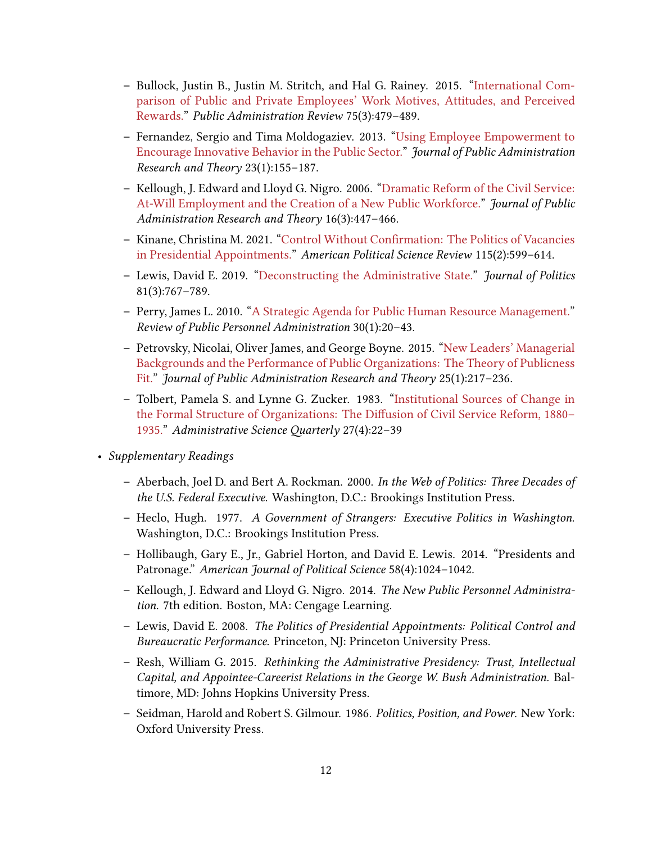- **–** Bullock, Justin B., Justin M. Stritch, and Hal G. Rainey. 2015. ["International Com](https://www-jstor-org.pitt.idm.oclc.org/stable/24758010)[parison of Public and Private Employees' Work Motives, Attitudes, and Perceived](https://www-jstor-org.pitt.idm.oclc.org/stable/24758010) [Rewards."](https://www-jstor-org.pitt.idm.oclc.org/stable/24758010) *Public Administration Review* 75(3):479–489.
- **–** Fernandez, Sergio and Tima Moldogaziev. 2013."[Using Employee Empowerment to](https://www-jstor-org.pitt.idm.oclc.org/stable/23321088) [Encourage Innovative Behavior in the Public Sector.](https://www-jstor-org.pitt.idm.oclc.org/stable/23321088)" *Journal of Public Administration Research and Theory* 23(1):155–187.
- **–** Kellough, J. Edward and Lloyd G. Nigro. 2006."[Dramatic Reform of the Civil Service:](https://www-jstor-org.pitt.idm.oclc.org/stable/3840392) [At-Will Employment and the Creation of a New Public Workforce."](https://www-jstor-org.pitt.idm.oclc.org/stable/3840392) *Journal of Public Administration Research and Theory* 16(3):447–466.
- **–** Kinane, Christina M. 2021. ["Control Without Confirmation: The Politics of Vacancies](https://www-cambridge-org.pitt.idm.oclc.org/core/journals/american-political-science-review/article/control-without-confirmation-the-politics-of-vacancies-in-presidential-appointments/0993030400C450B424D8284CF780B1F3) [in Presidential Appointments.](https://www-cambridge-org.pitt.idm.oclc.org/core/journals/american-political-science-review/article/control-without-confirmation-the-politics-of-vacancies-in-presidential-appointments/0993030400C450B424D8284CF780B1F3)" *American Political Science Review* 115(2):599–614.
- **–** Lewis, David E. 2019. ["Deconstructing the Administrative State.](https://www-journals-uchicago-edu.pitt.idm.oclc.org/doi/full/10.1086/703443)" *Journal of Politics* 81(3):767–789.
- **–** Perry, James L. 2010. ["A Strategic Agenda for Public Human Resource Management."](https://journals-sagepub-com.pitt.idm.oclc.org/doi/abs/10.1177/0734371x09351821) *Review of Public Personnel Administration* 30(1):20–43.
- **–** Petrovsky, Nicolai, Oliver James, and George Boyne. 2015."[New Leaders' Managerial](https://www-jstor-org.pitt.idm.oclc.org/stable/24484947) [Backgrounds and the Performance of Public Organizations: The Theory of Publicness](https://www-jstor-org.pitt.idm.oclc.org/stable/24484947) [Fit."](https://www-jstor-org.pitt.idm.oclc.org/stable/24484947) *Journal of Public Administration Research and Theory* 25(1):217–236.
- **–** Tolbert, Pamela S. and Lynne G. Zucker. 1983. ["Institutional Sources of Change in](https://www-jstor-org.pitt.idm.oclc.org/stable/2392383) [the Formal Structure of Organizations: The Diffusion of Civil Service Reform, 1880–](https://www-jstor-org.pitt.idm.oclc.org/stable/2392383) [1935.](https://www-jstor-org.pitt.idm.oclc.org/stable/2392383)" *Administrative Science Quarterly* 27(4):22–39
- *Supplementary Readings*
	- **–** Aberbach, Joel D. and Bert A. Rockman. 2000. *In the Web of Politics: Three Decades of the U.S. Federal Executive*. Washington, D.C.: Brookings Institution Press.
	- **–** Heclo, Hugh. 1977. *A Government of Strangers: Executive Politics in Washington*. Washington, D.C.: Brookings Institution Press.
	- **–** Hollibaugh, Gary E., Jr., Gabriel Horton, and David E. Lewis. 2014. "Presidents and Patronage." *American Journal of Political Science* 58(4):1024–1042.
	- **–** Kellough, J. Edward and Lloyd G. Nigro. 2014. *The New Public Personnel Administration*. 7th edition. Boston, MA: Cengage Learning.
	- **–** Lewis, David E. 2008. *The Politics of Presidential Appointments: Political Control and Bureaucratic Performance*. Princeton, NJ: Princeton University Press.
	- **–** Resh, William G. 2015. *Rethinking the Administrative Presidency: Trust, Intellectual Capital, and Appointee-Careerist Relations in the George W. Bush Administration*. Baltimore, MD: Johns Hopkins University Press.
	- **–** Seidman, Harold and Robert S. Gilmour. 1986. *Politics, Position, and Power*. New York: Oxford University Press.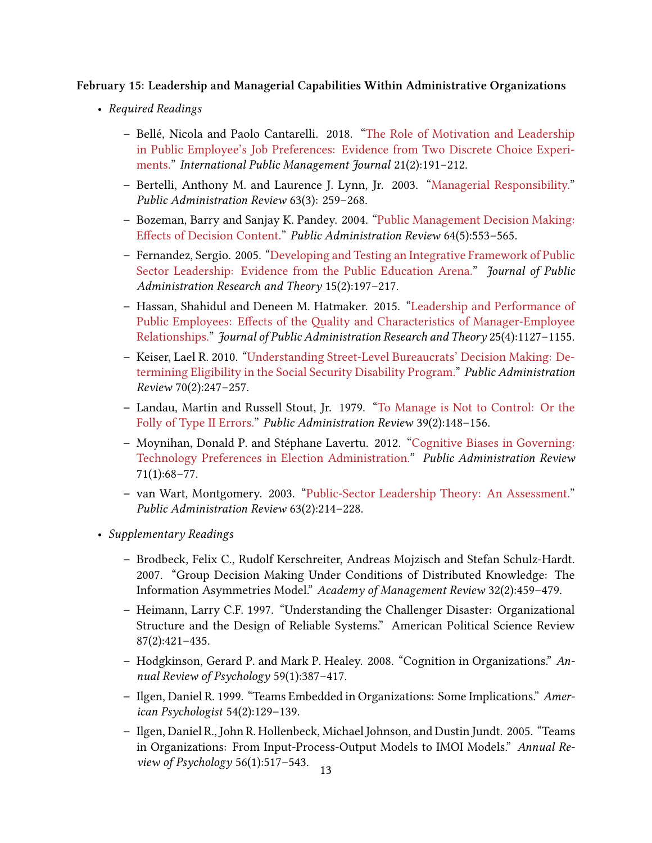### **February 15: Leadership and Managerial Capabilities Within Administrative Organizations**

- *Required Readings*
	- **–** Bellé, Nicola and Paolo Cantarelli. 2018. ["The Role of Motivation and Leadership](https://www-tandfonline-com.pitt.idm.oclc.org/doi/full/10.1080/10967494.2018.1425229) [in Public Employee's Job Preferences: Evidence from Two Discrete Choice Experi](https://www-tandfonline-com.pitt.idm.oclc.org/doi/full/10.1080/10967494.2018.1425229)[ments."](https://www-tandfonline-com.pitt.idm.oclc.org/doi/full/10.1080/10967494.2018.1425229) *International Public Management Journal* 21(2):191–212.
	- **–** Bertelli, Anthony M. and Laurence J. Lynn, Jr. 2003. ["Managerial Responsibility."](https://www-jstor-org.pitt.idm.oclc.org/stable/977486) *Public Administration Review* 63(3): 259–268.
	- **–** Bozeman, Barry and Sanjay K. Pandey. 2004. ["Public Management Decision Making:](https://www-jstor-org.pitt.idm.oclc.org/stable/3542537) [Effects of Decision Content.](https://www-jstor-org.pitt.idm.oclc.org/stable/3542537)" *Public Administration Review* 64(5):553–565.
	- **–** Fernandez, Sergio. 2005."[Developing and Testing an Integrative Framework of Public](https://www-jstor-org.pitt.idm.oclc.org/stable/3525697) [Sector Leadership: Evidence from the Public Education Arena.](https://www-jstor-org.pitt.idm.oclc.org/stable/3525697)" *Journal of Public Administration Research and Theory* 15(2):197–217.
	- **–** Hassan, Shahidul and Deneen M. Hatmaker. 2015."[Leadership and Performance of](https://www-jstor-org.pitt.idm.oclc.org/stable/24484961) [Public Employees: Effects of the Quality and Characteristics of Manager‐Employee](https://www-jstor-org.pitt.idm.oclc.org/stable/24484961) [Relationships."](https://www-jstor-org.pitt.idm.oclc.org/stable/24484961) *Journal of Public Administration Research and Theory* 25(4):1127–1155.
	- **–** Keiser, Lael R. 2010. ["Understanding Street‐Level Bureaucrats' Decision Making: De](https://onlinelibrary-wiley-com.pitt.idm.oclc.org/doi/full/10.1111/j.1540-6210.2010.02131.x)[termining Eligibility in the Social Security Disability Program."](https://onlinelibrary-wiley-com.pitt.idm.oclc.org/doi/full/10.1111/j.1540-6210.2010.02131.x) *Public Administration Review* 70(2):247–257.
	- **–** Landau, Martin and Russell Stout, Jr. 1979."[To Manage is Not to Control: Or the](https://www-jstor-org.pitt.idm.oclc.org/stable/3110470) [Folly of Type II Errors."](https://www-jstor-org.pitt.idm.oclc.org/stable/3110470) *Public Administration Review* 39(2):148–156.
	- **–** Moynihan, Donald P. and Stéphane Lavertu. 2012."[Cognitive Biases in Governing:](https://www-jstor-org.pitt.idm.oclc.org/stable/41433144) [Technology Preferences in Election Administration.](https://www-jstor-org.pitt.idm.oclc.org/stable/41433144)" *Public Administration Review* 71(1):68–77.
	- **–** van Wart, Montgomery. 2003."[Public‐Sector Leadership Theory: An Assessment."](https://www-jstor-org.pitt.idm.oclc.org/stable/977592) *Public Administration Review* 63(2):214–228.
- *Supplementary Readings*
	- **–** Brodbeck, Felix C., Rudolf Kerschreiter, Andreas Mojzisch and Stefan Schulz-Hardt. 2007. "Group Decision Making Under Conditions of Distributed Knowledge: The Information Asymmetries Model." *Academy of Management Review* 32(2):459–479.
	- **–** Heimann, Larry C.F. 1997. "Understanding the Challenger Disaster: Organizational Structure and the Design of Reliable Systems." American Political Science Review 87(2):421–435.
	- **–** Hodgkinson, Gerard P. and Mark P. Healey. 2008. "Cognition in Organizations." *Annual Review of Psychology* 59(1):387–417.
	- **–** Ilgen, Daniel R. 1999. "Teams Embedded in Organizations: Some Implications." *American Psychologist* 54(2):129–139.
	- **–** Ilgen, Daniel R., John R. Hollenbeck, Michael Johnson, and Dustin Jundt. 2005. "Teams in Organizations: From Input‐Process‐Output Models to IMOI Models." *Annual Review of Psychology* 56(1):517–543.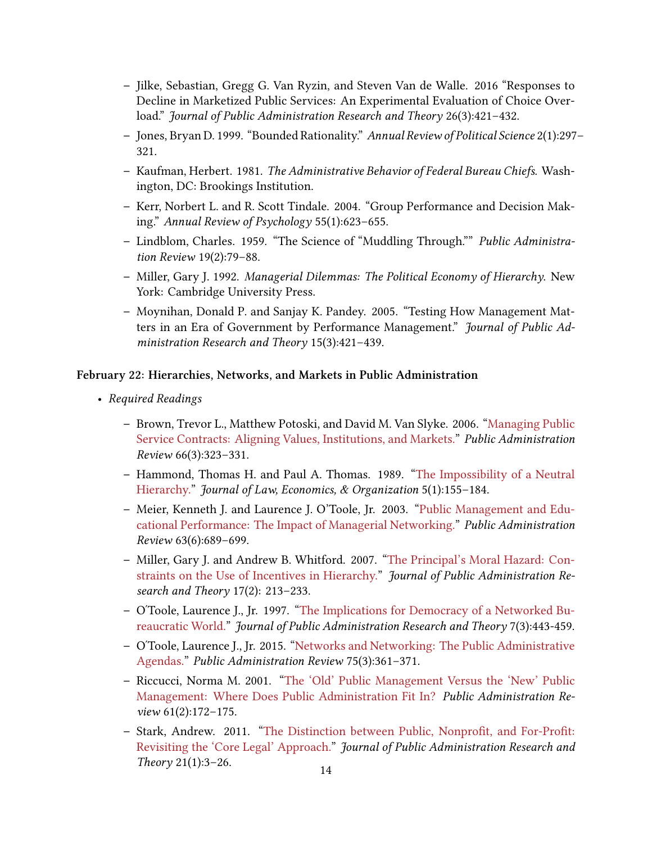- **–** Jilke, Sebastian, Gregg G. Van Ryzin, and Steven Van de Walle. 2016 "Responses to Decline in Marketized Public Services: An Experimental Evaluation of Choice Overload." *Journal of Public Administration Research and Theory* 26(3):421–432.
- **–** Jones, Bryan D. 1999. "Bounded Rationality." *Annual Review of Political Science* 2(1):297– 321.
- **–** Kaufman, Herbert. 1981. *The Administrative Behavior of Federal Bureau Chiefs*. Washington, DC: Brookings Institution.
- **–** Kerr, Norbert L. and R. Scott Tindale. 2004. "Group Performance and Decision Making." *Annual Review of Psychology* 55(1):623–655.
- **–** Lindblom, Charles. 1959. "The Science of "Muddling Through."" *Public Administration Review* 19(2):79–88.
- **–** Miller, Gary J. 1992. *Managerial Dilemmas: The Political Economy of Hierarchy*. New York: Cambridge University Press.
- **–** Moynihan, Donald P. and Sanjay K. Pandey. 2005. "Testing How Management Matters in an Era of Government by Performance Management." *Journal of Public Administration Research and Theory* 15(3):421–439.

### **February 22: Hierarchies, Networks, and Markets in Public Administration**

- *Required Readings*
	- **–** Brown, Trevor L., Matthew Potoski, and David M. Van Slyke. 2006. ["Managing Public](https://www-jstor-org.pitt.idm.oclc.org/stable/3843914) [Service Contracts: Aligning Values, Institutions, and Markets."](https://www-jstor-org.pitt.idm.oclc.org/stable/3843914) *Public Administration Review* 66(3):323–331.
	- **–** Hammond, Thomas H. and Paul A. Thomas. 1989. ["The Impossibility of a Neutral](https://www-jstor-org.pitt.idm.oclc.org/stable/764938) [Hierarchy.](https://www-jstor-org.pitt.idm.oclc.org/stable/764938)" *Journal of Law, Economics, & Organization* 5(1):155–184.
	- **–** Meier, Kenneth J. and Laurence J. O'Toole, Jr. 2003."[Public Management and Edu](https://www-jstor-org.pitt.idm.oclc.org/stable/3542464)[cational Performance: The Impact of Managerial Networking."](https://www-jstor-org.pitt.idm.oclc.org/stable/3542464) *Public Administration Review* 63(6):689–699.
	- **–** Miller, Gary J. and Andrew B. Whitford. 2007."[The Principal's Moral Hazard: Con](https://www-jstor-org.pitt.idm.oclc.org/stable/4139742)[straints on the Use of Incentives in Hierarchy."](https://www-jstor-org.pitt.idm.oclc.org/stable/4139742) *Journal of Public Administration Research and Theory* 17(2): 213–233.
	- **–** OʹToole, Laurence J., Jr. 1997. ["The Implications for Democracy of a Networked Bu](https://www-jstor-org.pitt.idm.oclc.org/stable/1181604)[reaucratic World.](https://www-jstor-org.pitt.idm.oclc.org/stable/1181604)" *Journal of Public Administration Research and Theory* 7(3):443-459.
	- **–** OʹToole, Laurence J., Jr. 2015. ["Networks and Networking: The Public Administrative](https://www-jstor-org.pitt.idm.oclc.org/stable/24757995) [Agendas."](https://www-jstor-org.pitt.idm.oclc.org/stable/24757995) *Public Administration Review* 75(3):361–371.
	- **–** Riccucci, Norma M. 2001. ["The 'Old' Public Management Versus the 'New' Public](https://www-jstor-org.pitt.idm.oclc.org/stable/977450) [Management: Where Does Public Administration Fit In?](https://www-jstor-org.pitt.idm.oclc.org/stable/977450) *Public Administration Review* 61(2):172–175.
	- **–** Stark, Andrew. 2011. ["The Distinction between Public, Nonprofit, and For‐Profit:](https://www-jstor-org.pitt.idm.oclc.org/stable/40961903) [Revisiting the 'Core Legal' Approach.](https://www-jstor-org.pitt.idm.oclc.org/stable/40961903)" *Journal of Public Administration Research and Theory* 21(1):3–26. 14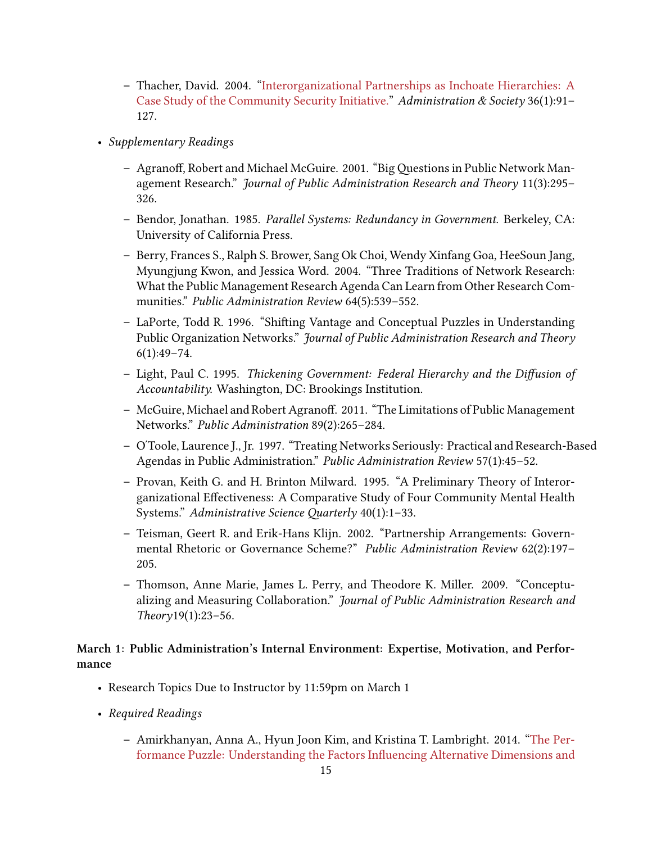- **–** Thacher, David. 2004."[Interorganizational Partnerships as Inchoate Hierarchies: A](https://journals-sagepub-com.pitt.idm.oclc.org/doi/abs/10.1177/0095399703257265) [Case Study of the Community Security Initiative.](https://journals-sagepub-com.pitt.idm.oclc.org/doi/abs/10.1177/0095399703257265)" *Administration & Society* 36(1):91– 127.
- *Supplementary Readings*
	- **–** Agranoff, Robert and Michael McGuire. 2001. "Big Questions in Public Network Management Research." *Journal of Public Administration Research and Theory* 11(3):295– 326.
	- **–** Bendor, Jonathan. 1985. *Parallel Systems: Redundancy in Government*. Berkeley, CA: University of California Press.
	- **–** Berry, Frances S., Ralph S. Brower, Sang Ok Choi, Wendy Xinfang Goa, HeeSoun Jang, Myungjung Kwon, and Jessica Word. 2004. "Three Traditions of Network Research: What the Public Management Research Agenda Can Learn from Other Research Communities." *Public Administration Review* 64(5):539–552.
	- **–** LaPorte, Todd R. 1996. "Shifting Vantage and Conceptual Puzzles in Understanding Public Organization Networks." *Journal of Public Administration Research and Theory*  $6(1):49-74.$
	- **–** Light, Paul C. 1995. *Thickening Government: Federal Hierarchy and the Diffusion of Accountability.* Washington, DC: Brookings Institution.
	- **–** McGuire, Michael and Robert Agranoff. 2011. "The Limitations of Public Management Networks." *Public Administration* 89(2):265–284.
	- **–** OʹToole, Laurence J., Jr. 1997. "Treating Networks Seriously: Practical and Research‐Based Agendas in Public Administration." *Public Administration Review* 57(1):45–52.
	- **–** Provan, Keith G. and H. Brinton Milward. 1995. "A Preliminary Theory of Interorganizational Effectiveness: A Comparative Study of Four Community Mental Health Systems." *Administrative Science Quarterly* 40(1):1–33.
	- **–** Teisman, Geert R. and Erik‐Hans Klijn. 2002. "Partnership Arrangements: Governmental Rhetoric or Governance Scheme?" *Public Administration Review* 62(2):197– 205.
	- **–** Thomson, Anne Marie, James L. Perry, and Theodore K. Miller. 2009. "Conceptualizing and Measuring Collaboration." *Journal of Public Administration Research and Theory*19(1):23–56.

### **March 1: Public Administration's Internal Environment: Expertise, Motivation, and Performance**

- Research Topics Due to Instructor by 11:59pm on March 1
- *Required Readings*
	- **–** Amirkhanyan, Anna A., Hyun Joon Kim, and Kristina T. Lambright. 2014."[The Per](https://www-jstor-org.pitt.idm.oclc.org/stable/24484889)[formance Puzzle: Understanding the Factors Influencing Alternative Dimensions and](https://www-jstor-org.pitt.idm.oclc.org/stable/24484889)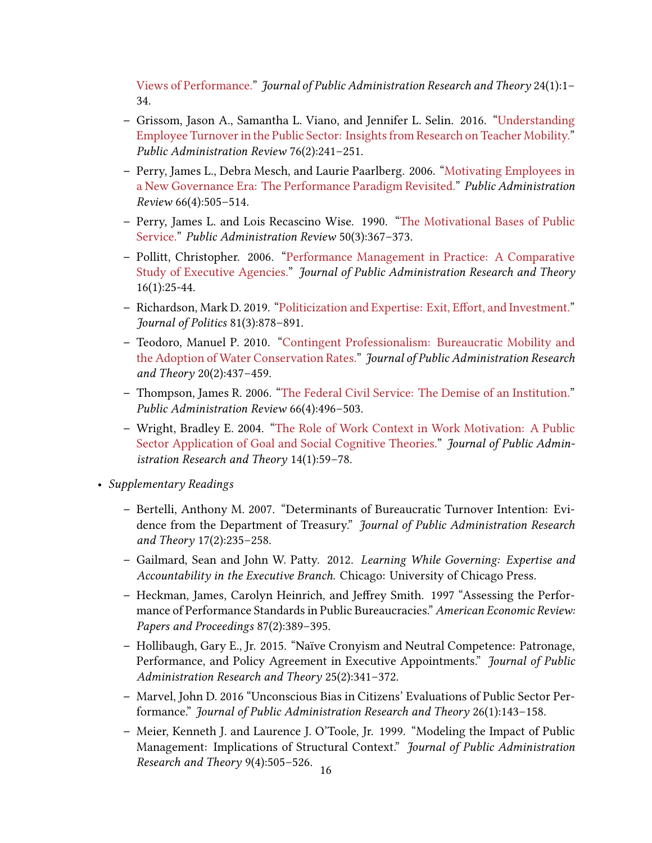[Views of Performance.](https://www-jstor-org.pitt.idm.oclc.org/stable/24484889)" *Journal of Public Administration Research and Theory* 24(1):1– 34.

- **–** Grissom, Jason A., Samantha L. Viano, and Jennifer L. Selin. 2016."[Understanding](https://onlinelibrary-wiley-com.pitt.idm.oclc.org/doi/full/10.1111/puar.12435) [Employee Turnover in the Public Sector: Insights from Research on Teacher Mobility."](https://onlinelibrary-wiley-com.pitt.idm.oclc.org/doi/full/10.1111/puar.12435) *Public Administration Review* 76(2):241–251.
- **–** Perry, James L., Debra Mesch, and Laurie Paarlberg. 2006."[Motivating Employees in](https://www-jstor-org.pitt.idm.oclc.org/stable/3843936) [a New Governance Era: The Performance Paradigm Revisited."](https://www-jstor-org.pitt.idm.oclc.org/stable/3843936) *Public Administration Review* 66(4):505–514.
- **–** Perry, James L. and Lois Recascino Wise. 1990."[The Motivational Bases of Public](https://www-jstor-org.pitt.idm.oclc.org/stable/976618) [Service.](https://www-jstor-org.pitt.idm.oclc.org/stable/976618)" *Public Administration Review* 50(3):367–373.
- **–** Pollitt, Christopher. 2006."[Performance Management in Practice: A Comparative](https://www-jstor-org.pitt.idm.oclc.org/stable/3525747) [Study of Executive Agencies."](https://www-jstor-org.pitt.idm.oclc.org/stable/3525747) *Journal of Public Administration Research and Theory* 16(1):25-44.
- **–** Richardson, Mark D. 2019. ["Politicization and Expertise: Exit, Effort, and Investment."](https://www-journals-uchicago-edu.pitt.idm.oclc.org/doi/full/10.1086/703072) *Journal of Politics* 81(3):878–891.
- **–** Teodoro, Manuel P. 2010. ["Contingent Professionalism: Bureaucratic Mobility and](https://www-jstor-org.pitt.idm.oclc.org/stable/40732518) [the Adoption of Water Conservation Rates.](https://www-jstor-org.pitt.idm.oclc.org/stable/40732518)" *Journal of Public Administration Research and Theory* 20(2):437–459.
- **–** Thompson, James R. 2006."[The Federal Civil Service: The Demise of an Institution."](https://www-jstor-org.pitt.idm.oclc.org/stable/3843934) *Public Administration Review* 66(4):496–503.
- **–** Wright, Bradley E. 2004. ["The Role of Work Context in Work Motivation: A Public](https://www-jstor-org.pitt.idm.oclc.org/stable/3525830) [Sector Application of Goal and Social Cognitive Theories."](https://www-jstor-org.pitt.idm.oclc.org/stable/3525830) *Journal of Public Administration Research and Theory* 14(1):59–78.
- *Supplementary Readings*
	- **–** Bertelli, Anthony M. 2007. "Determinants of Bureaucratic Turnover Intention: Evidence from the Department of Treasury." *Journal of Public Administration Research and Theory* 17(2):235–258.
	- **–** Gailmard, Sean and John W. Patty. 2012. *Learning While Governing: Expertise and Accountability in the Executive Branch.* Chicago: University of Chicago Press.
	- **–** Heckman, James, Carolyn Heinrich, and Jeffrey Smith. 1997 "Assessing the Performance of Performance Standards in Public Bureaucracies." *American Economic Review: Papers and Proceedings* 87(2):389–395.
	- **–** Hollibaugh, Gary E., Jr. 2015. "Naïve Cronyism and Neutral Competence: Patronage, Performance, and Policy Agreement in Executive Appointments." *Journal of Public Administration Research and Theory* 25(2):341–372.
	- **–** Marvel, John D. 2016 "Unconscious Bias in Citizens' Evaluations of Public Sector Performance." *Journal of Public Administration Research and Theory* 26(1):143–158.
	- **–** Meier, Kenneth J. and Laurence J. O'Toole, Jr. 1999. "Modeling the Impact of Public Management: Implications of Structural Context." *Journal of Public Administration Research and Theory* 9(4):505-526.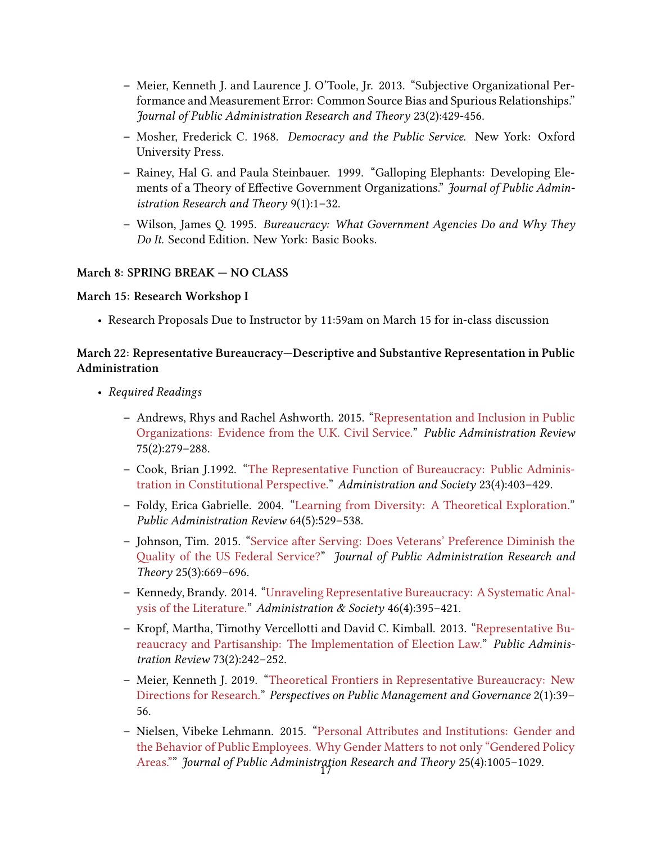- **–** Meier, Kenneth J. and Laurence J. O'Toole, Jr. 2013. "Subjective Organizational Performance and Measurement Error: Common Source Bias and Spurious Relationships." *Journal of Public Administration Research and Theory* 23(2):429‐456.
- **–** Mosher, Frederick C. 1968. *Democracy and the Public Service*. New York: Oxford University Press.
- **–** Rainey, Hal G. and Paula Steinbauer. 1999. "Galloping Elephants: Developing Elements of a Theory of Effective Government Organizations." *Journal of Public Administration Research and Theory* 9(1):1–32.
- **–** Wilson, James Q. 1995. *Bureaucracy: What Government Agencies Do and Why They Do It.* Second Edition. New York: Basic Books.

### **March 8: SPRING BREAK — NO CLASS**

### **March 15: Research Workshop I**

• Research Proposals Due to Instructor by 11:59am on March 15 for in-class discussion

### **March 22: Representative Bureaucracy—Descriptive and Substantive Representation in Public Administration**

- *Required Readings*
	- **–** Andrews, Rhys and Rachel Ashworth. 2015. ["Representation and Inclusion in Public](https://www-jstor-org.pitt.idm.oclc.org/stable/24757421) [Organizations: Evidence from the U.K. Civil Service."](https://www-jstor-org.pitt.idm.oclc.org/stable/24757421) *Public Administration Review* 75(2):279–288.
	- **–** Cook, Brian J.1992."[The Representative Function of Bureaucracy: Public Adminis](https://journals-sagepub-com.pitt.idm.oclc.org/doi/abs/10.1177/009539979202300401)[tration in Constitutional Perspective."](https://journals-sagepub-com.pitt.idm.oclc.org/doi/abs/10.1177/009539979202300401) *Administration and Society* 23(4):403–429.
	- **–** Foldy, Erica Gabrielle. 2004. ["Learning from Diversity: A Theoretical Exploration."](https://www-jstor-org.pitt.idm.oclc.org/stable/3542535) *Public Administration Review* 64(5):529–538.
	- **–** Johnson, Tim. 2015. ["Service after Serving: Does Veterans' Preference Diminish the](https://www-jstor-org.pitt.idm.oclc.org/stable/24484919) [Quality of the US Federal Service?](https://www-jstor-org.pitt.idm.oclc.org/stable/24484919)" *Journal of Public Administration Research and Theory* 25(3):669–696.
	- **–** Kennedy, Brandy. 2014."[Unraveling Representative Bureaucracy: A Systematic Anal](https://journals-sagepub-com.pitt.idm.oclc.org/doi/full/10.1177/0095399712459724)[ysis of the Literature.](https://journals-sagepub-com.pitt.idm.oclc.org/doi/full/10.1177/0095399712459724)" *Administration & Society* 46(4):395–421.
	- **–** Kropf, Martha, Timothy Vercellotti and David C. Kimball. 2013. ["Representative Bu](https://www-jstor-org.pitt.idm.oclc.org/stable/23355468)[reaucracy and Partisanship: The Implementation of Election Law.](https://www-jstor-org.pitt.idm.oclc.org/stable/23355468)" *Public Administration Review* 73(2):242–252.
	- **–** Meier, Kenneth J. 2019. ["Theoretical Frontiers in Representative Bureaucracy: New](https://academic-oup-com.pitt.idm.oclc.org/ppmg/article/2/1/39/5037752) [Directions for Research."](https://academic-oup-com.pitt.idm.oclc.org/ppmg/article/2/1/39/5037752) *Perspectives on Public Management and Governance* 2(1):39– 56.
	- **–** Nielsen, Vibeke Lehmann. 2015. ["Personal Attributes and Institutions: Gender and](https://www-jstor-org.pitt.idm.oclc.org/stable/24484956) [the Behavior of Public Employees. Why Gender Matters to not only "Gendered Policy](https://www-jstor-org.pitt.idm.oclc.org/stable/24484956) [Areas.""](https://www-jstor-org.pitt.idm.oclc.org/stable/24484956) *Journal of Public Administration Research and Theory 25(4):1005-1029.*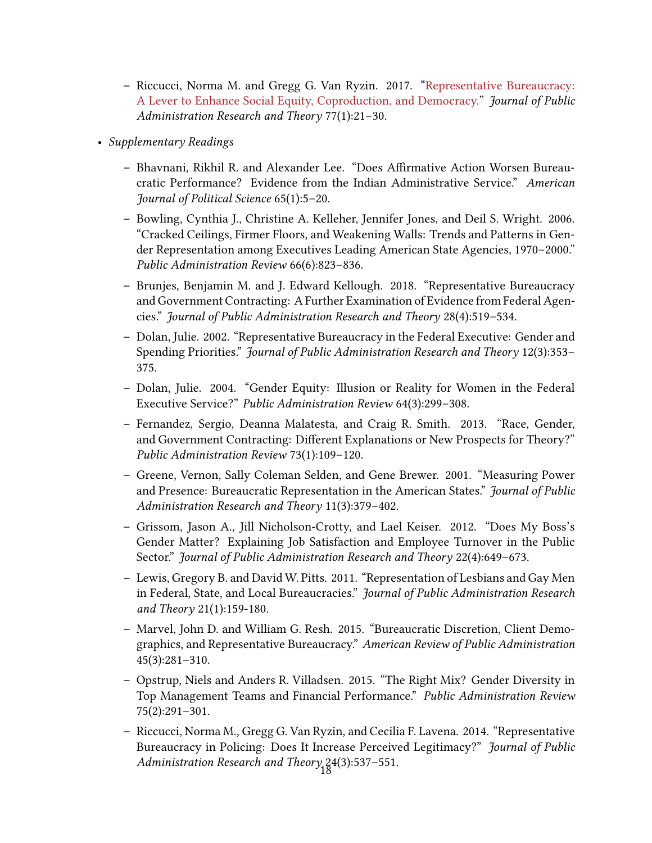- **–** Riccucci, Norma M. and Gregg G. Van Ryzin. 2017."[Representative Bureaucracy:](https://onlinelibrary-wiley-com.pitt.idm.oclc.org/doi/full/10.1111/puar.12649) [A Lever to Enhance Social Equity, Coproduction, and Democracy.](https://onlinelibrary-wiley-com.pitt.idm.oclc.org/doi/full/10.1111/puar.12649)" *Journal of Public Administration Research and Theory* 77(1):21–30.
- *Supplementary Readings*
	- **–** Bhavnani, Rikhil R. and Alexander Lee. "Does Affirmative Action Worsen Bureaucratic Performance? Evidence from the Indian Administrative Service." *American Journal of Political Science* 65(1):5–20.
	- **–** Bowling, Cynthia J., Christine A. Kelleher, Jennifer Jones, and Deil S. Wright. 2006. "Cracked Ceilings, Firmer Floors, and Weakening Walls: Trends and Patterns in Gender Representation among Executives Leading American State Agencies, 1970–2000." *Public Administration Review* 66(6):823–836.
	- **–** Brunjes, Benjamin M. and J. Edward Kellough. 2018. "Representative Bureaucracy and Government Contracting: A Further Examination of Evidence from Federal Agencies." *Journal of Public Administration Research and Theory* 28(4):519–534.
	- **–** Dolan, Julie. 2002. "Representative Bureaucracy in the Federal Executive: Gender and Spending Priorities." *Journal of Public Administration Research and Theory* 12(3):353– 375.
	- **–** Dolan, Julie. 2004. "Gender Equity: Illusion or Reality for Women in the Federal Executive Service?" *Public Administration Review* 64(3):299–308.
	- **–** Fernandez, Sergio, Deanna Malatesta, and Craig R. Smith. 2013. "Race, Gender, and Government Contracting: Different Explanations or New Prospects for Theory?" *Public Administration Review* 73(1):109–120.
	- **–** Greene, Vernon, Sally Coleman Selden, and Gene Brewer. 2001. "Measuring Power and Presence: Bureaucratic Representation in the American States." *Journal of Public Administration Research and Theory* 11(3):379–402.
	- **–** Grissom, Jason A., Jill Nicholson‐Crotty, and Lael Keiser. 2012. "Does My Boss's Gender Matter? Explaining Job Satisfaction and Employee Turnover in the Public Sector." *Journal of Public Administration Research and Theory* 22(4):649–673.
	- **–** Lewis, Gregory B. and David W. Pitts. 2011. "Representation of Lesbians and Gay Men in Federal, State, and Local Bureaucracies." *Journal of Public Administration Research and Theory* 21(1):159‐180.
	- **–** Marvel, John D. and William G. Resh. 2015. "Bureaucratic Discretion, Client Demographics, and Representative Bureaucracy." *American Review of Public Administration* 45(3):281–310.
	- **–** Opstrup, Niels and Anders R. Villadsen. 2015. "The Right Mix? Gender Diversity in Top Management Teams and Financial Performance." *Public Administration Review* 75(2):291–301.
	- **–** Riccucci, Norma M., Gregg G. Van Ryzin, and Cecilia F. Lavena. 2014. "Representative Bureaucracy in Policing: Does It Increase Perceived Legitimacy?" *Journal of Public* Administration Research and Theory<sub>1</sub>24(3):537-551.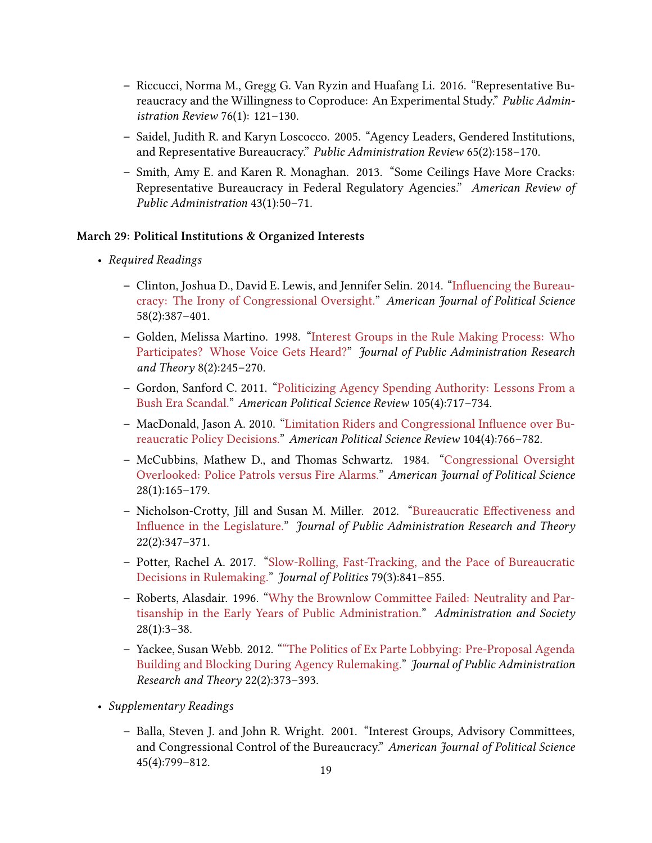- **–** Riccucci, Norma M., Gregg G. Van Ryzin and Huafang Li. 2016. "Representative Bureaucracy and the Willingness to Coproduce: An Experimental Study." *Public Administration Review* 76(1): 121–130.
- **–** Saidel, Judith R. and Karyn Loscocco. 2005. "Agency Leaders, Gendered Institutions, and Representative Bureaucracy." *Public Administration Review* 65(2):158–170.
- **–** Smith, Amy E. and Karen R. Monaghan. 2013. "Some Ceilings Have More Cracks: Representative Bureaucracy in Federal Regulatory Agencies." *American Review of Public Administration* 43(1):50–71.

#### **March 29: Political Institutions & Organized Interests**

- *Required Readings*
	- **–** Clinton, Joshua D., David E. Lewis, and Jennifer Selin. 2014."[Influencing the Bureau](https://www-jstor-org.pitt.idm.oclc.org/stable/24363492)[cracy: The Irony of Congressional Oversight.](https://www-jstor-org.pitt.idm.oclc.org/stable/24363492)" *American Journal of Political Science* 58(2):387–401.
	- **–** Golden, Melissa Martino. 1998."[Interest Groups in the Rule Making Process: Who](https://www-jstor-org.pitt.idm.oclc.org/stable/1181558) [Participates? Whose Voice Gets Heard?](https://www-jstor-org.pitt.idm.oclc.org/stable/1181558)" *Journal of Public Administration Research and Theory* 8(2):245–270.
	- **–** Gordon, Sanford C. 2011."[Politicizing Agency Spending Authority: Lessons From a](https://www-jstor-org.pitt.idm.oclc.org/stable/23275349) [Bush Era Scandal.](https://www-jstor-org.pitt.idm.oclc.org/stable/23275349)" *American Political Science Review* 105(4):717–734.
	- **–** MacDonald, Jason A. 2010."[Limitation Riders and Congressional Influence over Bu](https://www-jstor-org.pitt.idm.oclc.org/stable/40982896)[reaucratic Policy Decisions."](https://www-jstor-org.pitt.idm.oclc.org/stable/40982896) *American Political Science Review* 104(4):766–782.
	- **–** McCubbins, Mathew D., and Thomas Schwartz. 1984. ["Congressional Oversight](https://www-jstor-org.pitt.idm.oclc.org/stable/2110792) [Overlooked: Police Patrols versus Fire Alarms."](https://www-jstor-org.pitt.idm.oclc.org/stable/2110792) *American Journal of Political Science* 28(1):165–179.
	- **–** Nicholson-Crotty, Jill and Susan M. Miller. 2012."[Bureaucratic Effectiveness and](https://www-jstor-org.pitt.idm.oclc.org/stable/23250885) [Influence in the Legislature."](https://www-jstor-org.pitt.idm.oclc.org/stable/23250885) *Journal of Public Administration Research and Theory* 22(2):347–371.
	- **–** Potter, Rachel A. 2017. ["Slow-Rolling, Fast-Tracking, and the Pace of Bureaucratic](https://www-journals-uchicago-edu.pitt.idm.oclc.org/doi/full/10.1086/690614) [Decisions in Rulemaking.](https://www-journals-uchicago-edu.pitt.idm.oclc.org/doi/full/10.1086/690614)" *Journal of Politics* 79(3):841–855.
	- **–** Roberts, Alasdair. 1996. ["Why the Brownlow Committee Failed: Neutrality and Par](https://journals-sagepub-com.pitt.idm.oclc.org/doi/abs/10.1177/009539979602800101)[tisanship in the Early Years of Public Administration.](https://journals-sagepub-com.pitt.idm.oclc.org/doi/abs/10.1177/009539979602800101)" *Administration and Society*  $28(1):3-38.$
	- **–** Yackee, Susan Webb. 2012. [""The Politics of Ex Parte Lobbying: Pre‐Proposal Agenda](https://www-jstor-org.pitt.idm.oclc.org/stable/23250886) [Building and Blocking During Agency Rulemaking.](https://www-jstor-org.pitt.idm.oclc.org/stable/23250886)" *Journal of Public Administration Research and Theory* 22(2):373–393.
- *Supplementary Readings*
	- **–** Balla, Steven J. and John R. Wright. 2001. "Interest Groups, Advisory Committees, and Congressional Control of the Bureaucracy." *American Journal of Political Science*  $45(4):799-812.$  19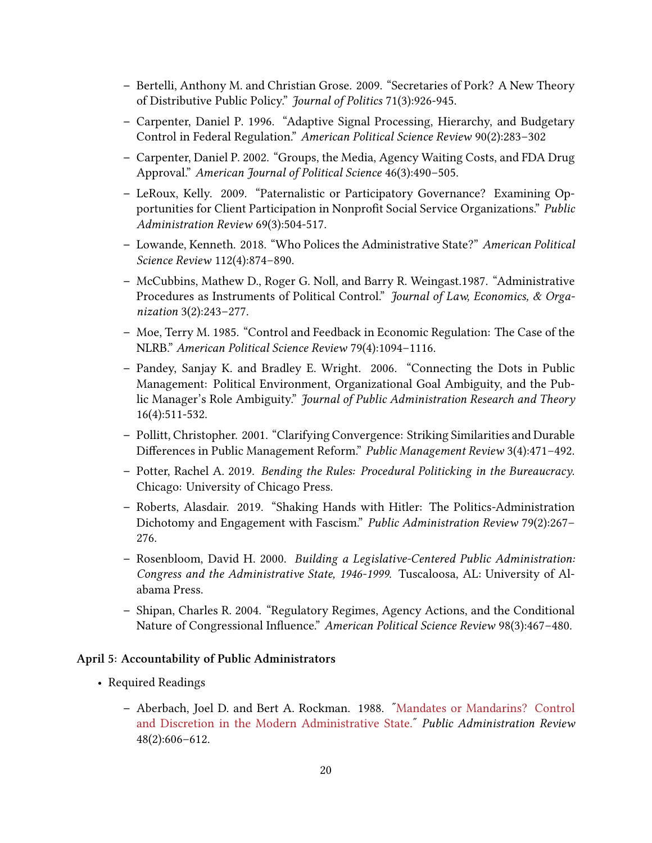- **–** Bertelli, Anthony M. and Christian Grose. 2009. "Secretaries of Pork? A New Theory of Distributive Public Policy." *Journal of Politics* 71(3):926‐945.
- **–** Carpenter, Daniel P. 1996. "Adaptive Signal Processing, Hierarchy, and Budgetary Control in Federal Regulation." *American Political Science Review* 90(2):283–302
- **–** Carpenter, Daniel P. 2002. "Groups, the Media, Agency Waiting Costs, and FDA Drug Approval." *American Journal of Political Science* 46(3):490–505.
- **–** LeRoux, Kelly. 2009. "Paternalistic or Participatory Governance? Examining Opportunities for Client Participation in Nonprofit Social Service Organizations." *Public Administration Review* 69(3):504‐517.
- **–** Lowande, Kenneth. 2018. "Who Polices the Administrative State?" *American Political Science Review* 112(4):874–890.
- **–** McCubbins, Mathew D., Roger G. Noll, and Barry R. Weingast.1987. "Administrative Procedures as Instruments of Political Control." *Journal of Law, Economics, & Organization* 3(2):243–277.
- **–** Moe, Terry M. 1985. "Control and Feedback in Economic Regulation: The Case of the NLRB." *American Political Science Review* 79(4):1094–1116.
- **–** Pandey, Sanjay K. and Bradley E. Wright. 2006. "Connecting the Dots in Public Management: Political Environment, Organizational Goal Ambiguity, and the Public Manager's Role Ambiguity." *Journal of Public Administration Research and Theory* 16(4):511-532.
- **–** Pollitt, Christopher. 2001. "Clarifying Convergence: Striking Similarities and Durable Differences in Public Management Reform." *Public Management Review* 3(4):471–492.
- **–** Potter, Rachel A. 2019. *Bending the Rules: Procedural Politicking in the Bureaucracy*. Chicago: University of Chicago Press.
- **–** Roberts, Alasdair. 2019. "Shaking Hands with Hitler: The Politics-Administration Dichotomy and Engagement with Fascism." *Public Administration Review* 79(2):267– 276.
- **–** Rosenbloom, David H. 2000. *Building a Legislative‐Centered Public Administration: Congress and the Administrative State, 1946‐1999*. Tuscaloosa, AL: University of Alabama Press.
- **–** Shipan, Charles R. 2004. "Regulatory Regimes, Agency Actions, and the Conditional Nature of Congressional Influence." *American Political Science Review* 98(3):467–480.

#### **April 5: Accountability of Public Administrators**

- Required Readings
	- **–** Aberbach, Joel D. and Bert A. Rockman. 1988. [ʺMandates or Mandarins? Control](https://www-jstor-org.pitt.idm.oclc.org/stable/975761) and Discretion in the Modern Administrative State.<sup>*"</sup> Public Administration Review*</sup> 48(2):606–612.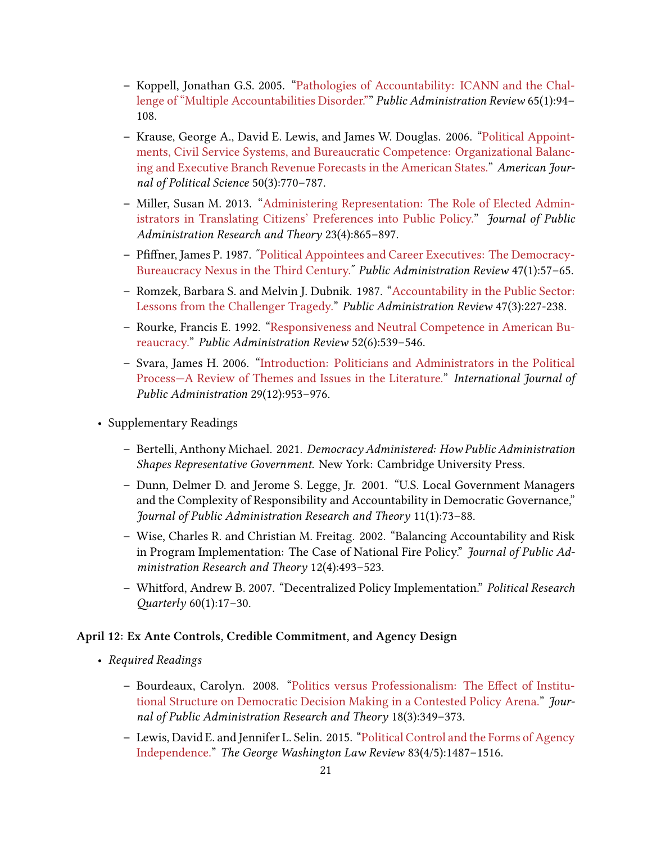- **–** Koppell, Jonathan G.S. 2005. ["Pathologies of Accountability: ICANN and the Chal](https://www-jstor-org.pitt.idm.oclc.org/stable/3542585)[lenge of "Multiple Accountabilities Disorder."](https://www-jstor-org.pitt.idm.oclc.org/stable/3542585)" *Public Administration Review* 65(1):94– 108.
- **–** Krause, George A., David E. Lewis, and James W. Douglas. 2006."[Political Appoint](https://www-jstor-org.pitt.idm.oclc.org/stable/3694248)[ments, Civil Service Systems, and Bureaucratic Competence: Organizational Balanc](https://www-jstor-org.pitt.idm.oclc.org/stable/3694248)[ing and Executive Branch Revenue Forecasts in the American States."](https://www-jstor-org.pitt.idm.oclc.org/stable/3694248) *American Journal of Political Science* 50(3):770–787.
- **–** Miller, Susan M. 2013."[Administering Representation: The Role of Elected Admin](https://www-jstor-org.pitt.idm.oclc.org/stable/24484909)[istrators in Translating Citizens' Preferences into Public Policy.](https://www-jstor-org.pitt.idm.oclc.org/stable/24484909)" *Journal of Public Administration Research and Theory* 23(4):865–897.
- **–** Pfiffner, James P. 1987. "Political Appointees and Career Executives: The Democracy-Bureaucracy Nexus in the Third Century.<sup>"</sup> Public Administration Review 47(1):57-65.
- **–** Romzek, Barbara S. and Melvin J. Dubnik. 1987. ["Accountability in the Public Sector:](https://www-jstor-org.pitt.idm.oclc.org/stable/975901) [Lessons from the Challenger Tragedy.](https://www-jstor-org.pitt.idm.oclc.org/stable/975901)" *Public Administration Review* 47(3):227-238.
- **–** Rourke, Francis E. 1992. ["Responsiveness and Neutral Competence in American Bu](https://www-jstor-org.pitt.idm.oclc.org/stable/977164)[reaucracy."](https://www-jstor-org.pitt.idm.oclc.org/stable/977164) *Public Administration Review* 52(6):539–546.
- **–** Svara, James H. 2006."[Introduction: Politicians and Administrators in the Political](https://www-tandfonline-com.pitt.idm.oclc.org/doi/full/10.1080/01900690600854555) [Process—A Review of Themes and Issues in the Literature.](https://www-tandfonline-com.pitt.idm.oclc.org/doi/full/10.1080/01900690600854555)" *International Journal of Public Administration* 29(12):953–976.
- Supplementary Readings
	- **–** Bertelli, Anthony Michael. 2021. *Democracy Administered: How Public Administration Shapes Representative Government*. New York: Cambridge University Press.
	- **–** Dunn, Delmer D. and Jerome S. Legge, Jr. 2001. "U.S. Local Government Managers and the Complexity of Responsibility and Accountability in Democratic Governance," *Journal of Public Administration Research and Theory* 11(1):73–88.
	- **–** Wise, Charles R. and Christian M. Freitag. 2002. "Balancing Accountability and Risk in Program Implementation: The Case of National Fire Policy." *Journal of Public Administration Research and Theory* 12(4):493–523.
	- **–** Whitford, Andrew B. 2007. "Decentralized Policy Implementation." *Political Research Quarterly* 60(1):17–30.

#### **April 12: Ex Ante Controls, Credible Commitment, and Agency Design**

- *Required Readings*
	- **–** Bourdeaux, Carolyn. 2008. ["Politics versus Professionalism: The Effect of Institu](https://www-jstor-org.pitt.idm.oclc.org/stable/25096373)[tional Structure on Democratic Decision Making in a Contested Policy Arena."](https://www-jstor-org.pitt.idm.oclc.org/stable/25096373) *Journal of Public Administration Research and Theory* 18(3):349–373.
	- **–** Lewis, David E. and Jennifer L. Selin. 2015. ["Political Control and the Forms of Agency](https://heinonline-org.pitt.idm.oclc.org/hol-cgi-bin/get_pdf.cgi?handle=hein.journals/gwlr83§ion=47) [Independence."](https://heinonline-org.pitt.idm.oclc.org/hol-cgi-bin/get_pdf.cgi?handle=hein.journals/gwlr83§ion=47) *The George Washington Law Review* 83(4/5):1487–1516.